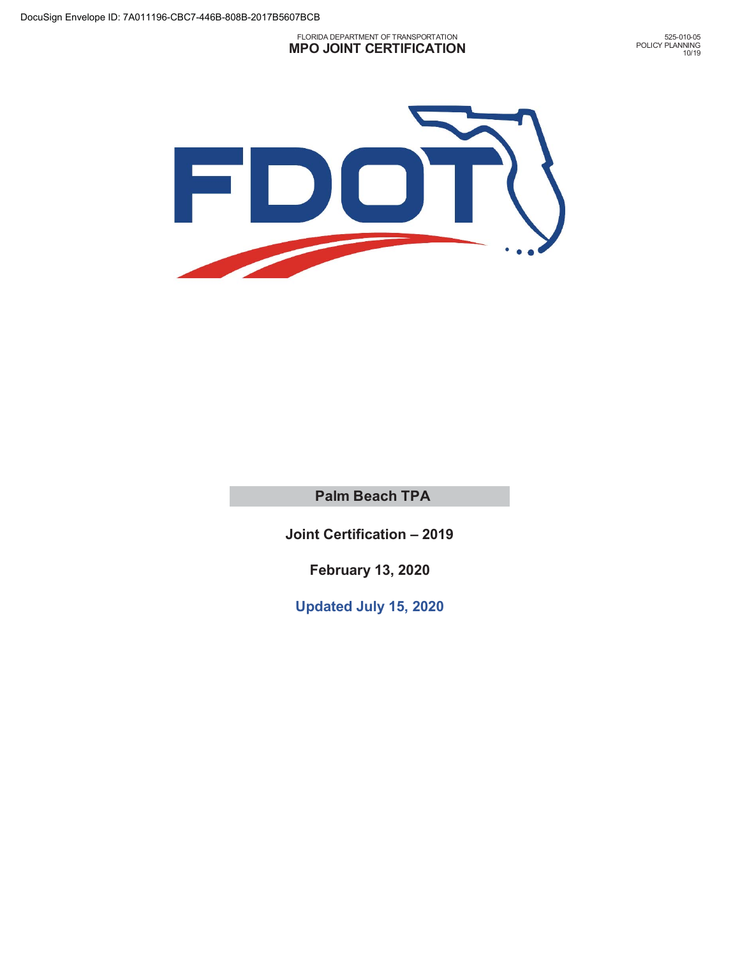#### FLORIDA DEPARTMENT OF TRANSPORTATION **MPO JOINT CERTIFICATION**

525-010-05 POLICY PLANNING 10/19



**Palm Beach TPA**

**Joint Certification – 2019** 

 **February 13, 2020** 

**Updated July 15, 2020**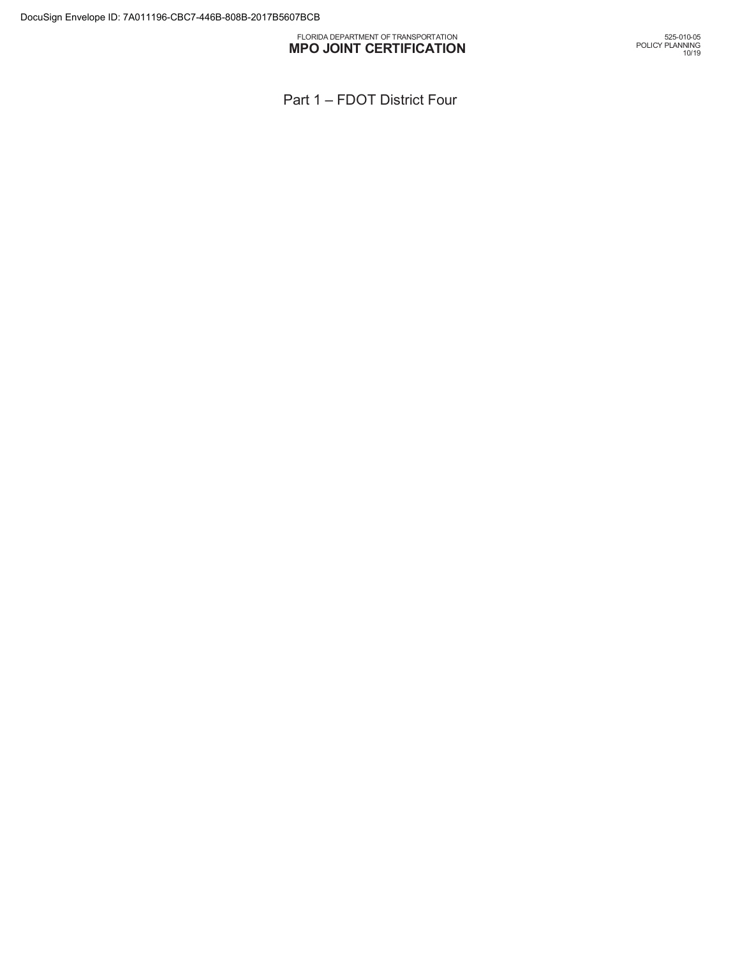#### FLORIDA DEPARTMENT OF TRANSPORTATION **MPO JOINT CERTIFICATION**

Part 1 – FDOT District Four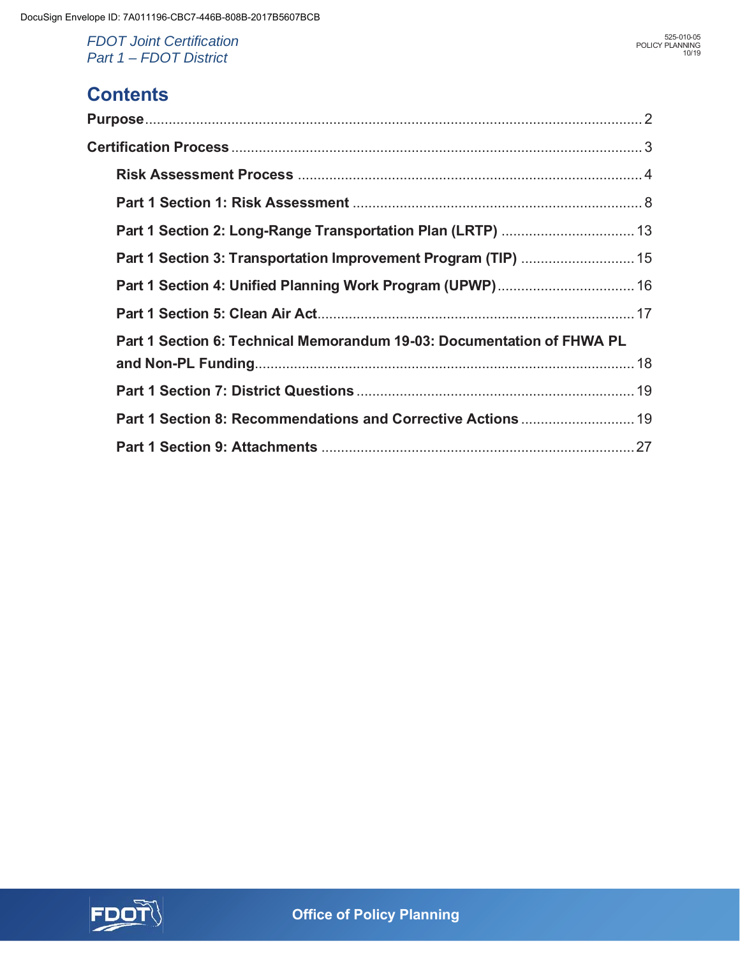## **Contents**

| Part 1 Section 6: Technical Memorandum 19-03: Documentation of FHWA PL |  |
|------------------------------------------------------------------------|--|
|                                                                        |  |
|                                                                        |  |
| Part 1 Section 8: Recommendations and Corrective Actions  19           |  |
|                                                                        |  |

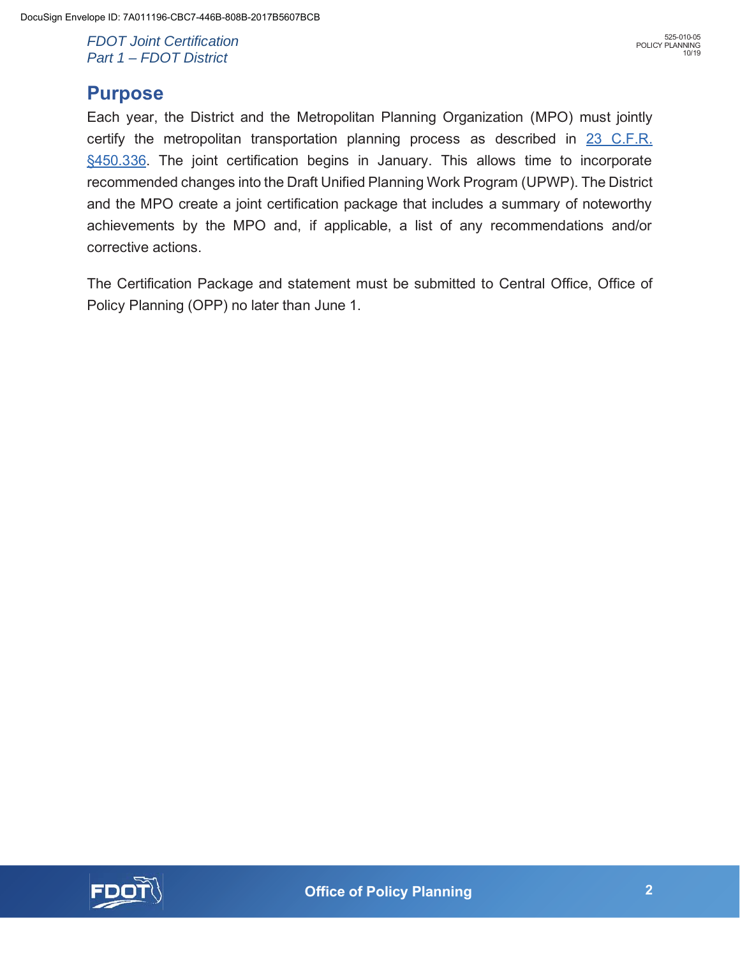## **Purpose**

Each year, the District and the Metropolitan Planning Organization (MPO) must jointly certify the metropolitan transportation planning process as described in 23 C.F.R. §450.336. The joint certification begins in January. This allows time to incorporate recommended changes into the Draft Unified Planning Work Program (UPWP). The District and the MPO create a joint certification package that includes a summary of noteworthy achievements by the MPO and, if applicable, a list of any recommendations and/or corrective actions.

The Certification Package and statement must be submitted to Central Office, Office of Policy Planning (OPP) no later than June 1.

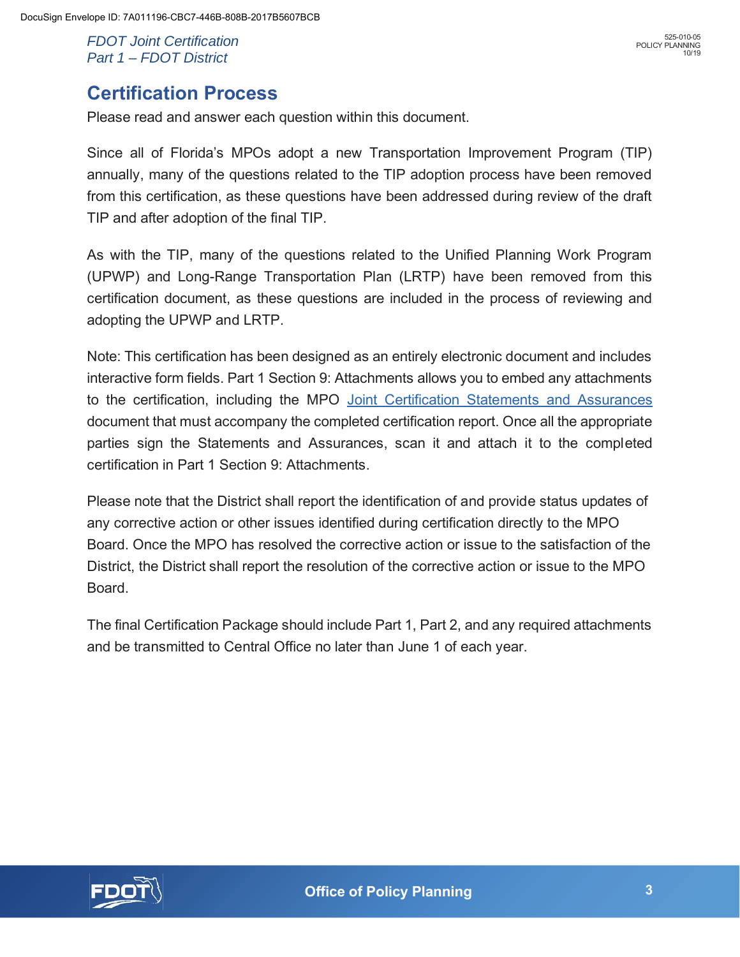Please read and answer each question within this document.

Since all of Florida's MPOs adopt a new Transportation Improvement Program (TIP) annually, many of the questions related to the TIP adoption process have been removed from this certification, as these questions have been addressed during review of the draft TIP and after adoption of the final TIP.

As with the TIP, many of the questions related to the Unified Planning Work Program (UPWP) and Long-Range Transportation Plan (LRTP) have been removed from this certification document, as these questions are included in the process of reviewing and adopting the UPWP and LRTP.

Note: This certification has been designed as an entirely electronic document and includes interactive form fields. Part 1 Section 9: Attachments allows you to embed any attachments to the certification, including the MPO Joint Certification Statements and Assurances document that must accompany the completed certification report. Once all the appropriate parties sign the Statements and Assurances, scan it and attach it to the completed certification in Part 1 Section 9: Attachments.

Please note that the District shall report the identification of and provide status updates of any corrective action or other issues identified during certification directly to the MPO Board. Once the MPO has resolved the corrective action or issue to the satisfaction of the District, the District shall report the resolution of the corrective action or issue to the MPO Board.

The final Certification Package should include Part 1, Part 2, and any required attachments and be transmitted to Central Office no later than June 1 of each year.

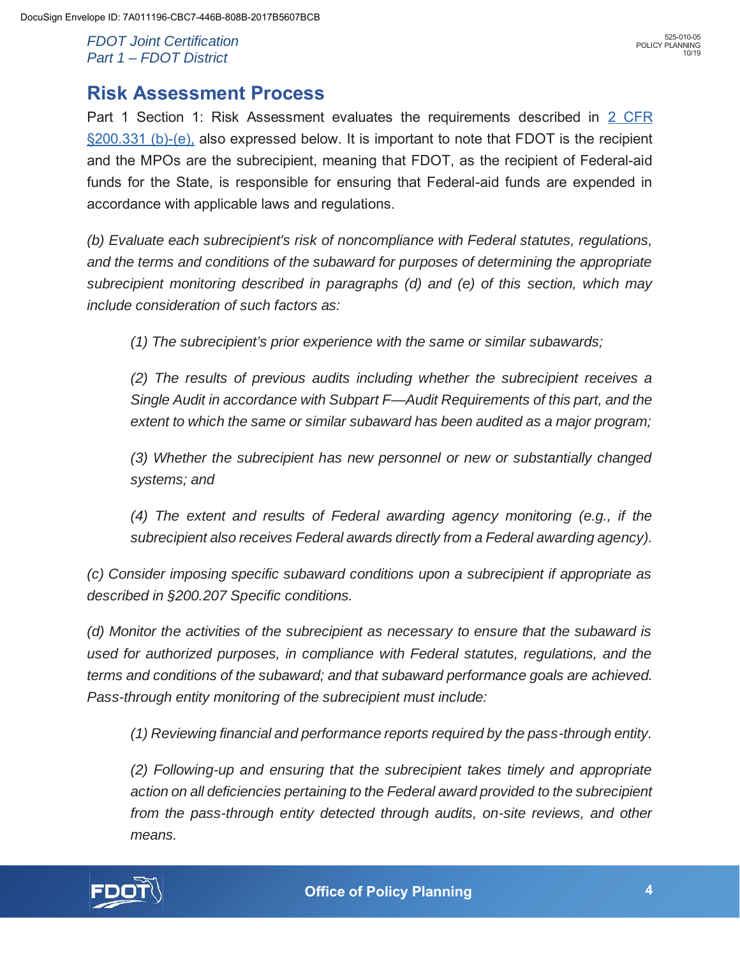Part 1 Section 1: Risk Assessment evaluates the requirements described in 2 CFR §200.331 (b)-(e), also expressed below. It is important to note that FDOT is the recipient and the MPOs are the subrecipient, meaning that FDOT, as the recipient of Federal-aid funds for the State, is responsible for ensuring that Federal-aid funds are expended in accordance with applicable laws and regulations.

*(b) Evaluate each subrecipient's risk of noncompliance with Federal statutes, regulations, and the terms and conditions of the subaward for purposes of determining the appropriate subrecipient monitoring described in paragraphs (d) and (e) of this section, which may include consideration of such factors as:* 

*(1) The subrecipient's prior experience with the same or similar subawards;*

*(2) The results of previous audits including whether the subrecipient receives a Single Audit in accordance with Subpart F—Audit Requirements of this part, and the extent to which the same or similar subaward has been audited as a major program;* 

*(3) Whether the subrecipient has new personnel or new or substantially changed systems; and* 

*(4) The extent and results of Federal awarding agency monitoring (e.g., if the subrecipient also receives Federal awards directly from a Federal awarding agency).* 

*(c) Consider imposing specific subaward conditions upon a subrecipient if appropriate as described in §200.207 Specific conditions.* 

*(d) Monitor the activities of the subrecipient as necessary to ensure that the subaward is used for authorized purposes, in compliance with Federal statutes, regulations, and the terms and conditions of the subaward; and that subaward performance goals are achieved. Pass-through entity monitoring of the subrecipient must include:* 

*(1) Reviewing financial and performance reports required by the pass-through entity.* 

*(2) Following-up and ensuring that the subrecipient takes timely and appropriate action on all deficiencies pertaining to the Federal award provided to the subrecipient from the pass-through entity detected through audits, on-site reviews, and other means.* 

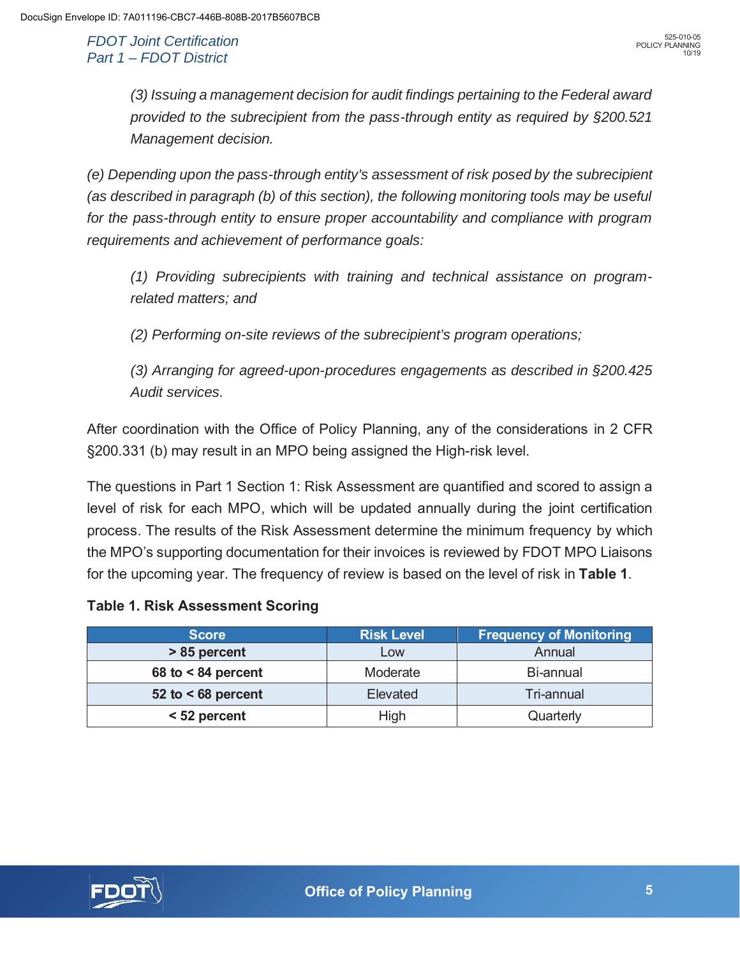*(3) Issuing a management decision for audit findings pertaining to the Federal award provided to the subrecipient from the pass-through entity as required by §200.521 Management decision.* 

*(e) Depending upon the pass-through entity's assessment of risk posed by the subrecipient (as described in paragraph (b) of this section), the following monitoring tools may be useful for the pass-through entity to ensure proper accountability and compliance with program requirements and achievement of performance goals:* 

*(1) Providing subrecipients with training and technical assistance on programrelated matters; and* 

*(2) Performing on-site reviews of the subrecipient's program operations;*

*(3) Arranging for agreed-upon-procedures engagements as described in §200.425 Audit services.* 

After coordination with the Office of Policy Planning, any of the considerations in 2 CFR §200.331 (b) may result in an MPO being assigned the High-risk level.

The questions in Part 1 Section 1: Risk Assessment are quantified and scored to assign a level of risk for each MPO, which will be updated annually during the joint certification process. The results of the Risk Assessment determine the minimum frequency by which the MPO's supporting documentation for their invoices is reviewed by FDOT MPO Liaisons for the upcoming year. The frequency of review is based on the level of risk in **Table 1**.

### **Table 1. Risk Assessment Scoring**

| <b>Score</b>         | <b>Risk Level</b> | <b>Frequency of Monitoring</b> |
|----------------------|-------------------|--------------------------------|
| > 85 percent         | Low               | Annual                         |
| 68 to $< 84$ percent | Moderate          | Bi-annual                      |
| 52 to $<$ 68 percent | Elevated          | Tri-annual                     |
| < 52 percent         | High              | Quarterly                      |

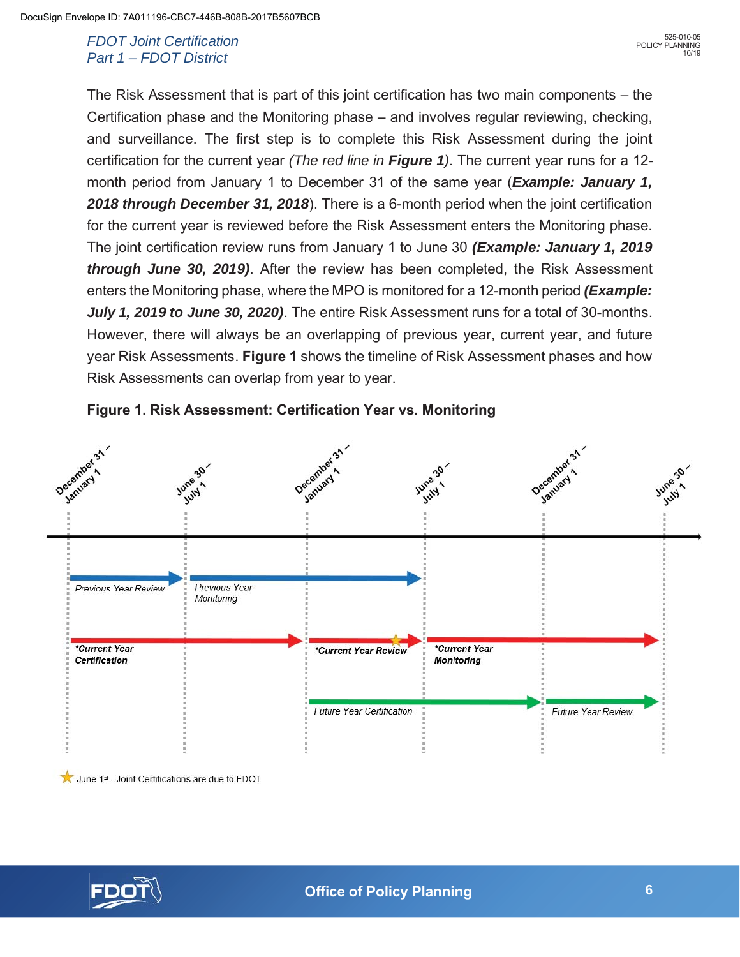The Risk Assessment that is part of this joint certification has two main components – the Certification phase and the Monitoring phase – and involves regular reviewing, checking, and surveillance. The first step is to complete this Risk Assessment during the joint certification for the current year *(The red line in Figure 1)*. The current year runs for a 12 month period from January 1 to December 31 of the same year (*Example: January 1, 2018 through December 31, 2018*). There is a 6-month period when the joint certification for the current year is reviewed before the Risk Assessment enters the Monitoring phase. The joint certification review runs from January 1 to June 30 *(Example: January 1, 2019 through June 30, 2019)*. After the review has been completed, the Risk Assessment enters the Monitoring phase, where the MPO is monitored for a 12-month period *(Example: July 1, 2019 to June 30, 2020)*. The entire Risk Assessment runs for a total of 30-months. However, there will always be an overlapping of previous year, current year, and future year Risk Assessments. **Figure 1** shows the timeline of Risk Assessment phases and how Risk Assessments can overlap from year to year.





June 1st - Joint Certifications are due to FDOT

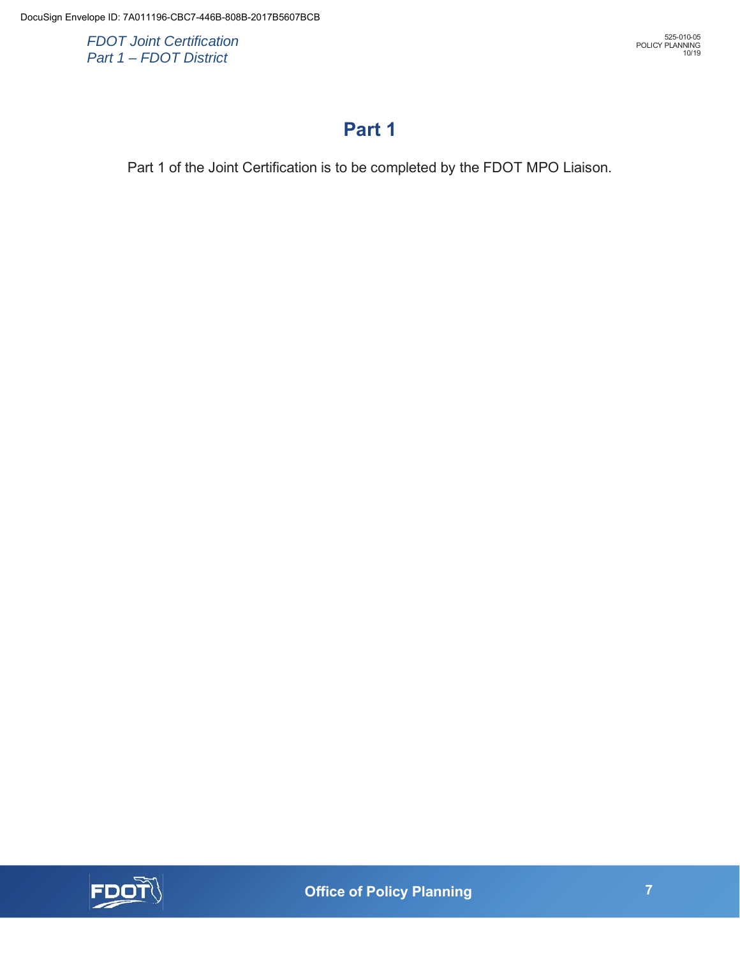## **Part 1**

Part 1 of the Joint Certification is to be completed by the FDOT MPO Liaison.



 **7 Office of Policy Planning**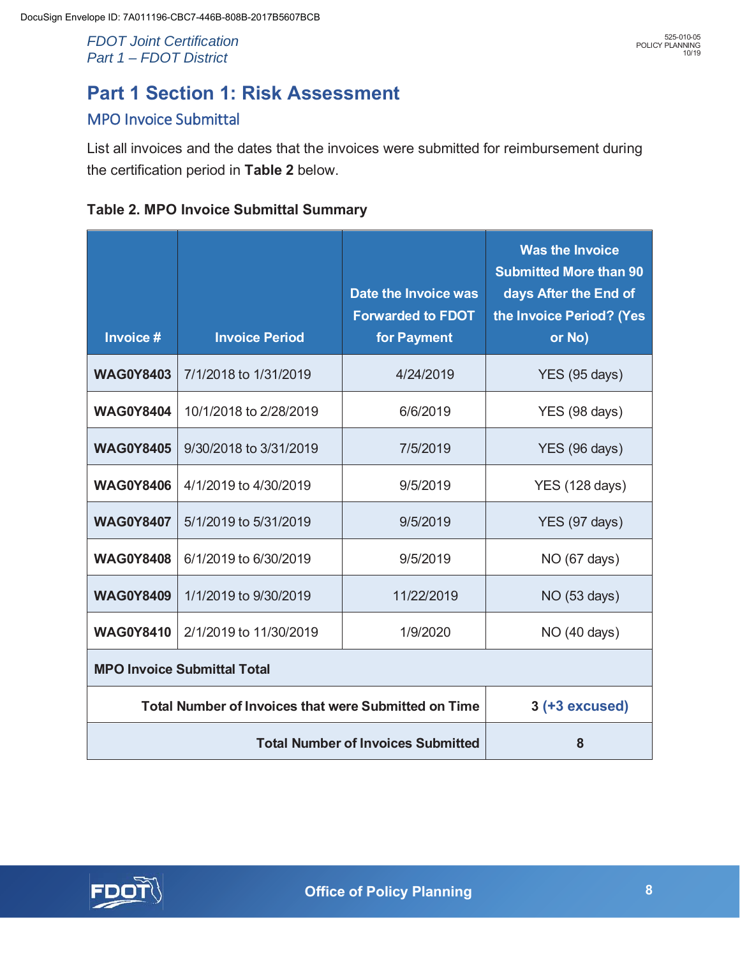# **Part 1 Section 1: Risk Assessment**

## MPO Invoice Submittal

List all invoices and the dates that the invoices were submitted for reimbursement during the certification period in **Table 2** below.

| Invoice #                                                   | <b>Invoice Period</b>  | Date the Invoice was<br><b>Forwarded to FDOT</b><br>for Payment | <b>Was the Invoice</b><br><b>Submitted More than 90</b><br>days After the End of<br>the Invoice Period? (Yes<br>or No) |
|-------------------------------------------------------------|------------------------|-----------------------------------------------------------------|------------------------------------------------------------------------------------------------------------------------|
| <b>WAG0Y8403</b>                                            | 7/1/2018 to 1/31/2019  | 4/24/2019                                                       | YES (95 days)                                                                                                          |
| <b>WAG0Y8404</b>                                            | 10/1/2018 to 2/28/2019 | 6/6/2019                                                        | YES (98 days)                                                                                                          |
| <b>WAG0Y8405</b>                                            | 9/30/2018 to 3/31/2019 | 7/5/2019                                                        | YES (96 days)                                                                                                          |
| <b>WAG0Y8406</b>                                            | 4/1/2019 to 4/30/2019  | 9/5/2019                                                        | <b>YES (128 days)</b>                                                                                                  |
| <b>WAG0Y8407</b>                                            | 5/1/2019 to 5/31/2019  | 9/5/2019                                                        | YES (97 days)                                                                                                          |
| <b>WAG0Y8408</b>                                            | 6/1/2019 to 6/30/2019  | 9/5/2019                                                        | NO (67 days)                                                                                                           |
| <b>WAG0Y8409</b>                                            | 1/1/2019 to 9/30/2019  | 11/22/2019                                                      | NO (53 days)                                                                                                           |
| <b>WAG0Y8410</b>                                            | 2/1/2019 to 11/30/2019 | 1/9/2020                                                        | NO (40 days)                                                                                                           |
| <b>MPO Invoice Submittal Total</b>                          |                        |                                                                 |                                                                                                                        |
| <b>Total Number of Invoices that were Submitted on Time</b> |                        | $3$ (+3 excused)                                                |                                                                                                                        |
| <b>Total Number of Invoices Submitted</b>                   |                        | 8                                                               |                                                                                                                        |

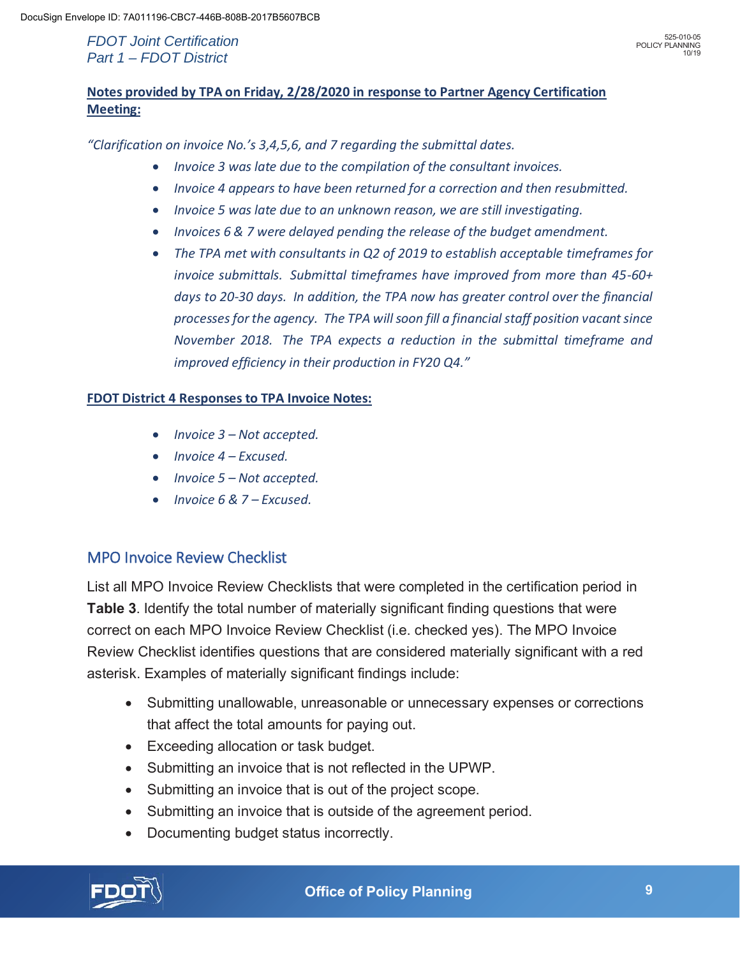## **Notes provided by TPA on Friday, 2/28/2020 in response to Partner Agency Certification Meeting:**

*"Clarification on invoice No.'s 3,4,5,6, and 7 regarding the submittal dates.* 

- x *Invoice 3 was late due to the compilation of the consultant invoices.*
- x *Invoice 4 appears to have been returned for a correction and then resubmitted.*
- x *Invoice 5 was late due to an unknown reason, we are still investigating.*
- x *Invoices 6 & 7 were delayed pending the release of the budget amendment.*
- The TPA met with consultants in Q2 of 2019 to establish acceptable timeframes for *invoice submittals. Submittal timeframes have improved from more than 45-60+ days to 20-30 days. In addition, the TPA now has greater control over the financial processes for the agency. The TPA will soon fill a financial staff position vacant since November 2018. The TPA expects a reduction in the submittal timeframe and improved efficiency in their production in FY20 Q4."*

#### **FDOT District 4 Responses to TPA Invoice Notes:**

- x *Invoice 3 Not accepted.*
- x *Invoice 4 Excused.*
- x *Invoice 5 Not accepted.*
- x *Invoice 6 & 7 Excused.*

### MPO Invoice Review Checklist

List all MPO Invoice Review Checklists that were completed in the certification period in **Table 3**. Identify the total number of materially significant finding questions that were correct on each MPO Invoice Review Checklist (i.e. checked yes). The MPO Invoice Review Checklist identifies questions that are considered materially significant with a red asterisk. Examples of materially significant findings include:

- Submitting unallowable, unreasonable or unnecessary expenses or corrections that affect the total amounts for paying out.
- Exceeding allocation or task budget.
- Submitting an invoice that is not reflected in the UPWP.
- Submitting an invoice that is out of the project scope.
- Submitting an invoice that is outside of the agreement period.
- Documenting budget status incorrectly.

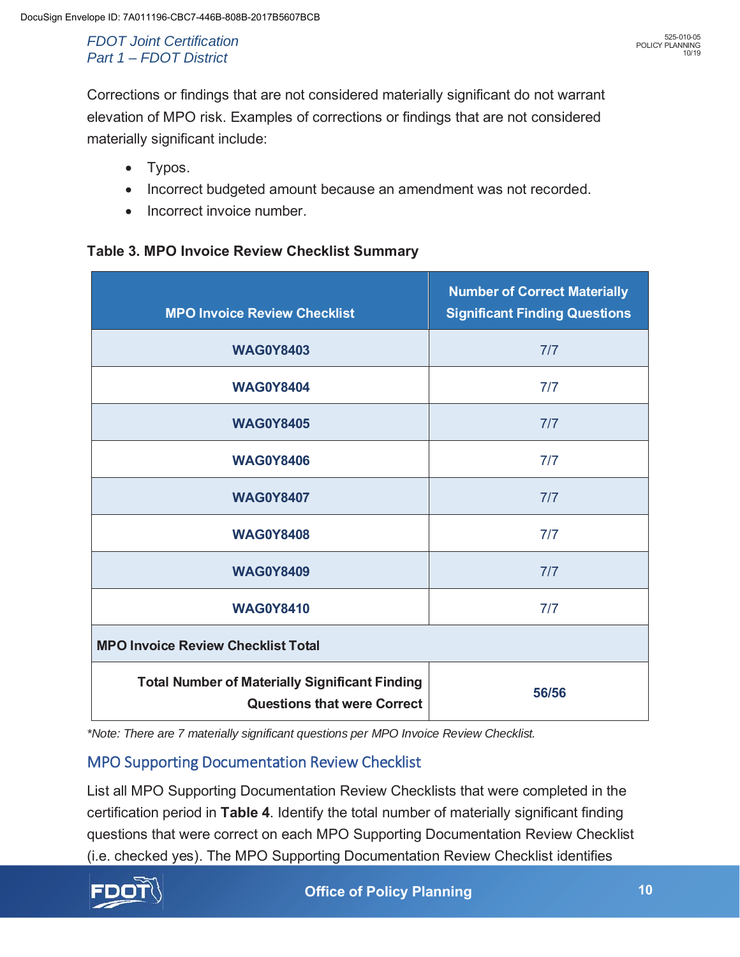Corrections or findings that are not considered materially significant do not warrant elevation of MPO risk. Examples of corrections or findings that are not considered materially significant include:

- $\bullet$  Typos.
- Incorrect budgeted amount because an amendment was not recorded.
- Incorrect invoice number.

#### **Table 3. MPO Invoice Review Checklist Summary**

| <b>MPO Invoice Review Checklist</b>                                                         | <b>Number of Correct Materially</b><br><b>Significant Finding Questions</b> |  |
|---------------------------------------------------------------------------------------------|-----------------------------------------------------------------------------|--|
| <b>WAG0Y8403</b>                                                                            | 7/7                                                                         |  |
| <b>WAG0Y8404</b>                                                                            | 7/7                                                                         |  |
| <b>WAG0Y8405</b>                                                                            | 7/7                                                                         |  |
| <b>WAG0Y8406</b>                                                                            | 7/7                                                                         |  |
| <b>WAG0Y8407</b>                                                                            | 7/7                                                                         |  |
| <b>WAG0Y8408</b>                                                                            | 7/7                                                                         |  |
| <b>WAG0Y8409</b>                                                                            | 7/7                                                                         |  |
| <b>WAG0Y8410</b>                                                                            | 7/7                                                                         |  |
| <b>MPO Invoice Review Checklist Total</b>                                                   |                                                                             |  |
| <b>Total Number of Materially Significant Finding</b><br><b>Questions that were Correct</b> | 56/56                                                                       |  |

*\*Note: There are 7 materially significant questions per MPO Invoice Review Checklist.* 

## MPO Supporting Documentation Review Checklist

List all MPO Supporting Documentation Review Checklists that were completed in the certification period in **Table 4**. Identify the total number of materially significant finding questions that were correct on each MPO Supporting Documentation Review Checklist (i.e. checked yes). The MPO Supporting Documentation Review Checklist identifies

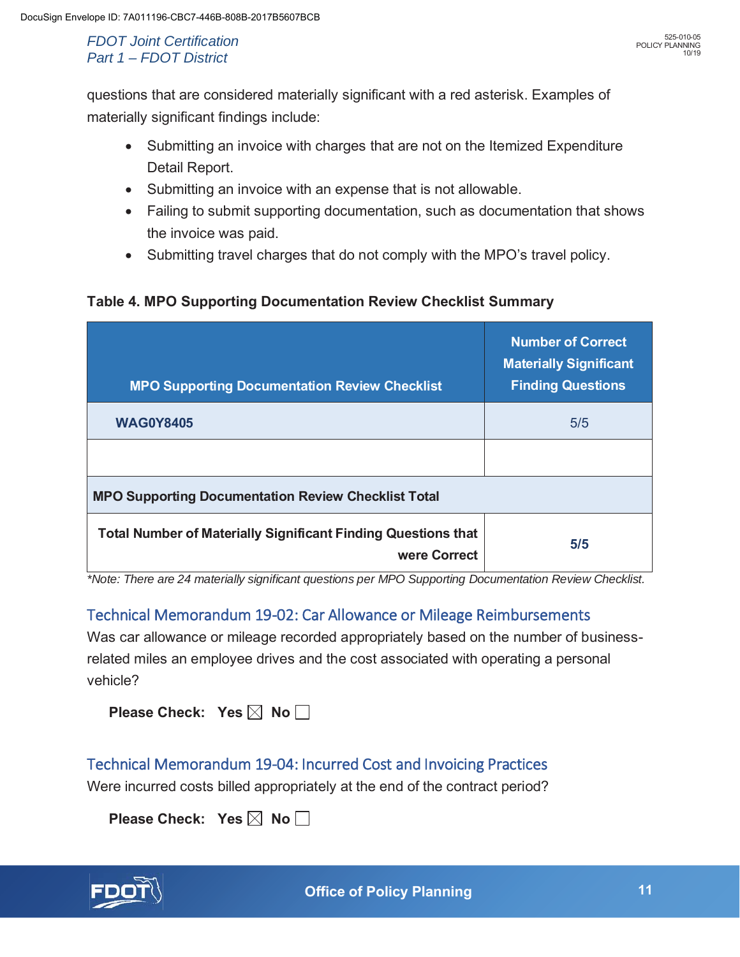questions that are considered materially significant with a red asterisk. Examples of materially significant findings include:

- Submitting an invoice with charges that are not on the Itemized Expenditure Detail Report.
- Submitting an invoice with an expense that is not allowable.
- Failing to submit supporting documentation, such as documentation that shows the invoice was paid.
- Submitting travel charges that do not comply with the MPO's travel policy.

### **Table 4. MPO Supporting Documentation Review Checklist Summary**

| <b>MPO Supporting Documentation Review Checklist</b>                                 | <b>Number of Correct</b><br><b>Materially Significant</b><br><b>Finding Questions</b> |
|--------------------------------------------------------------------------------------|---------------------------------------------------------------------------------------|
| <b>WAG0Y8405</b>                                                                     | 5/5                                                                                   |
|                                                                                      |                                                                                       |
| <b>MPO Supporting Documentation Review Checklist Total</b>                           |                                                                                       |
| <b>Total Number of Materially Significant Finding Questions that</b><br>were Correct | 5/5                                                                                   |

*\*Note: There are 24 materially significant questions per MPO Supporting Documentation Review Checklist.* 

## Technical Memorandum 19-02: Car Allowance or Mileage Reimbursements

Was car allowance or mileage recorded appropriately based on the number of businessrelated miles an employee drives and the cost associated with operating a personal vehicle?

|  | Please Check: Yes $\boxtimes$ No $\Box$ |  |  |  |  |
|--|-----------------------------------------|--|--|--|--|
|--|-----------------------------------------|--|--|--|--|

## Technical Memorandum 19-04: Incurred Cost and Invoicing Practices

Were incurred costs billed appropriately at the end of the contract period?

**Please Check: Yes**  $\boxtimes$  **No**  $\Box$ 

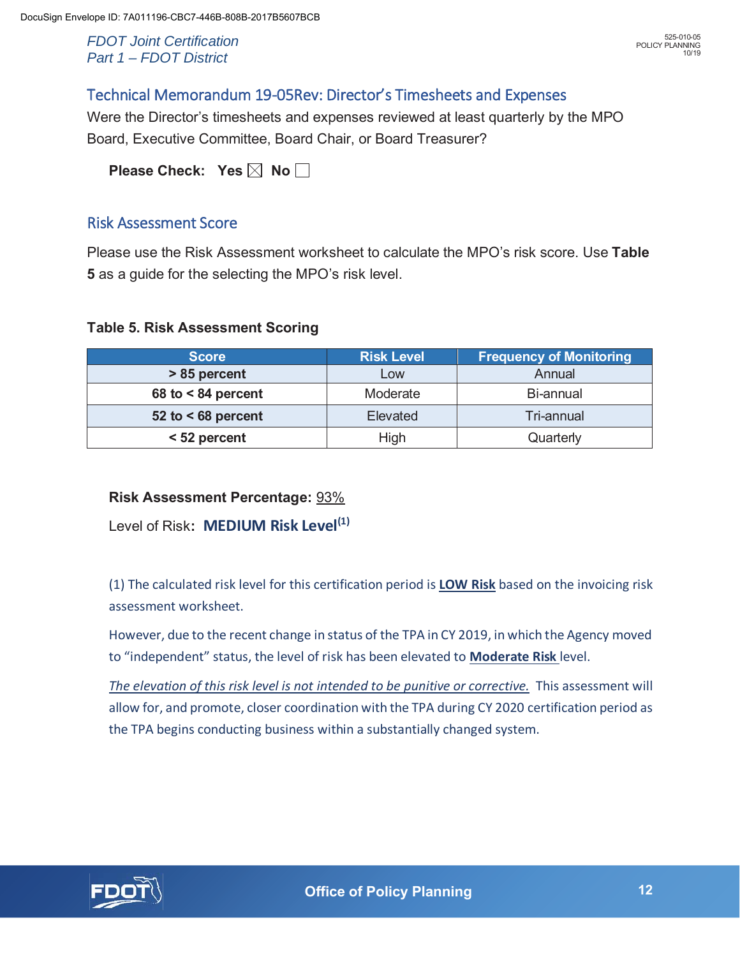## Technical Memorandum 19-05Rev: Director's Timesheets and Expenses

Were the Director's timesheets and expenses reviewed at least quarterly by the MPO Board, Executive Committee, Board Chair, or Board Treasurer?

**Please Check: Yes**  $\boxtimes$  **No**  $\Box$ 

## Risk Assessment Score

Please use the Risk Assessment worksheet to calculate the MPO's risk score. Use **Table 5** as a guide for the selecting the MPO's risk level.

#### **Table 5. Risk Assessment Scoring**

| <b>Score</b>         | <b>Risk Level</b> | <b>Frequency of Monitoring</b> |
|----------------------|-------------------|--------------------------------|
| > 85 percent         | Low               | Annual                         |
| 68 to $< 84$ percent | Moderate          | Bi-annual                      |
| 52 to $<$ 68 percent | Elevated          | Tri-annual                     |
| < 52 percent         | High              | Quarterly                      |

### **Risk Assessment Percentage:** 93%

Level of Risk**: MEDIUM Risk Level(1)** 

(1) The calculated risk level for this certification period is **LOW Risk** based on the invoicing risk assessment worksheet.

However, due to the recent change in status of the TPA in CY 2019, in which the Agency moved to "independent" status, the level of risk has been elevated to **Moderate Risk** level.

*The elevation of this risk level is not intended to be punitive or corrective.* This assessment will allow for, and promote, closer coordination with the TPA during CY 2020 certification period as the TPA begins conducting business within a substantially changed system.

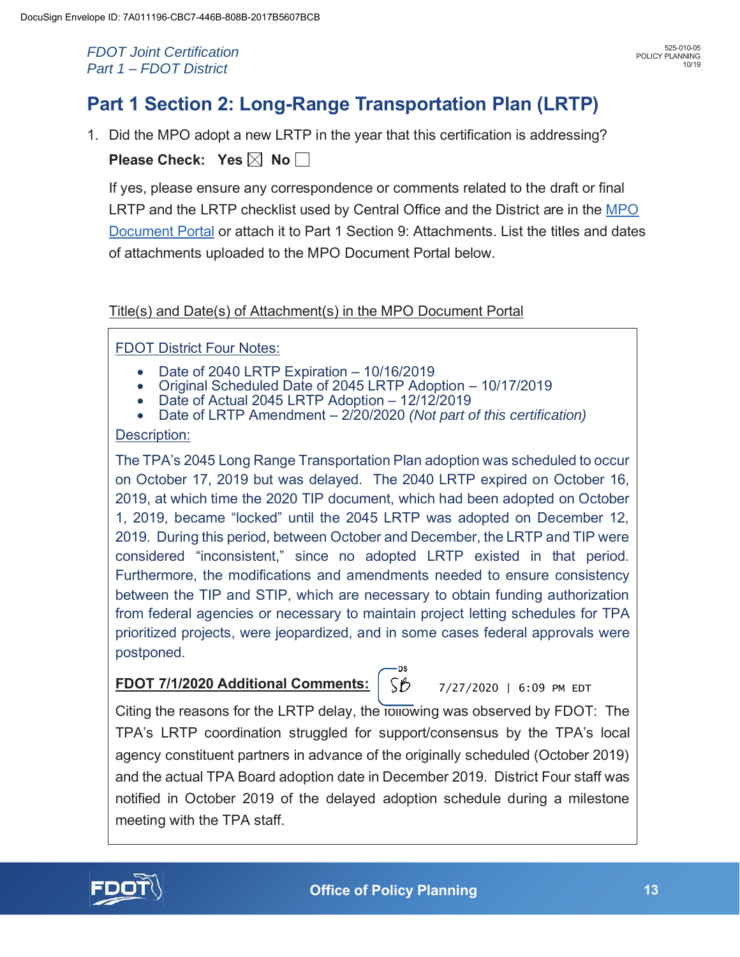# **Part 1 Section 2: Long-Range Transportation Plan (LRTP)**

1. Did the MPO adopt a new LRTP in the year that this certification is addressing? **Please Check: Yes**  $\boxtimes$  **No**  $\Box$ 

If yes, please ensure any correspondence or comments related to the draft or final LRTP and the LRTP checklist used by Central Office and the District are in the MPO Document Portal or attach it to Part 1 Section 9: Attachments. List the titles and dates of attachments uploaded to the MPO Document Portal below.

## Title(s) and Date(s) of Attachment(s) in the MPO Document Portal

## FDOT District Four Notes:

- 
- Date of 2040 LRTP Expiration 10/16/2019<br>Original Scheduled Date of 2045 LRTP Adoption 10/17/2019<br>Date of Actual 2045 LRTP Adoption 12/12/2019
- 
- Date of LRTP Amendment 2/20/2020 *(Not part of this certification)*

#### Description:

The TPA's 2045 Long Range Transportation Plan adoption was scheduled to occur on October 17, 2019 but was delayed. The 2040 LRTP expired on October 16, 2019, at which time the 2020 TIP document, which had been adopted on October 1, 2019, became "locked" until the 2045 LRTP was adopted on December 12, 2019. During this period, between October and December, the LRTP and TIP were considered "inconsistent," since no adopted LRTP existed in that period. Furthermore, the modifications and amendments needed to ensure consistency between the TIP and STIP, which are necessary to obtain funding authorization from federal agencies or necessary to maintain project letting schedules for TPA prioritized projects, were jeopardized, and in some cases federal approvals were postponed.

## **FDOT 7/1/2020 Additional Comments:**

7/27/2020 | 6:09 PM EDT

Citing the reasons for the LRTP delay, the following was observed by FDOT: The TPA's LRTP coordination struggled for support/consensus by the TPA's local agency constituent partners in advance of the originally scheduled (October 2019) and the actual TPA Board adoption date in December 2019. District Four staff was notified in October 2019 of the delayed adoption schedule during a milestone meeting with the TPA staff.

SB

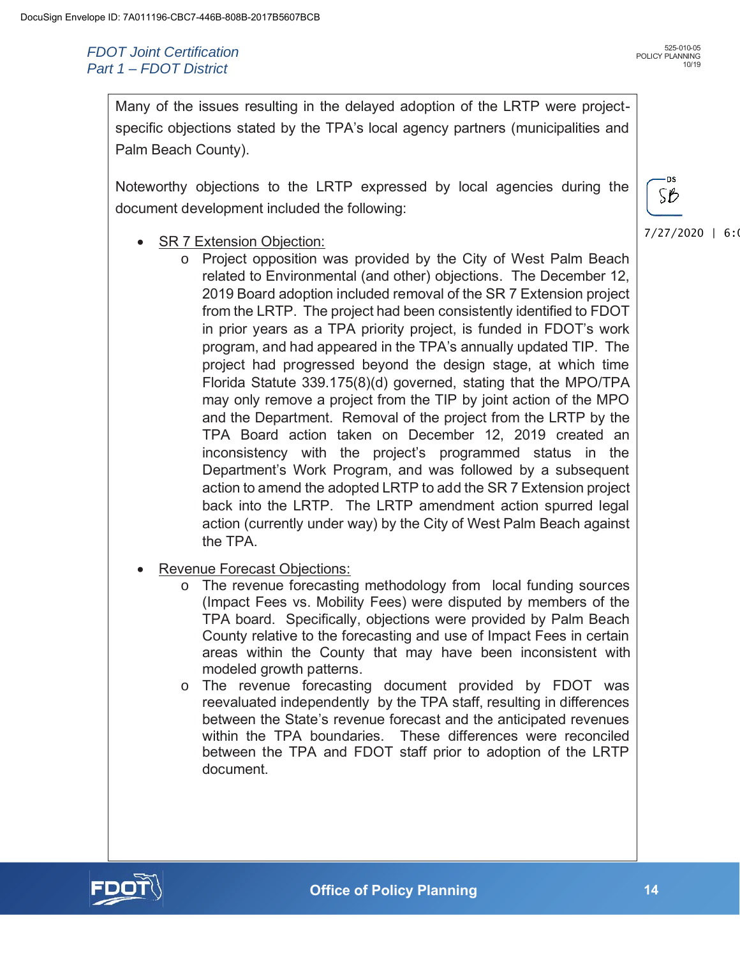-DS SB

7/27/2020 | 6:0

Many of the issues resulting in the delayed adoption of the LRTP were projectspecific objections stated by the TPA's local agency partners (municipalities and Palm Beach County).

Noteworthy objections to the LRTP expressed by local agencies during the document development included the following:

- SR 7 Extension Objection:
	- o Project opposition was provided by the City of West Palm Beach related to Environmental (and other) objections. The December 12, 2019 Board adoption included removal of the SR 7 Extension project from the LRTP. The project had been consistently identified to FDOT in prior years as a TPA priority project, is funded in FDOT's work program, and had appeared in the TPA's annually updated TIP. The project had progressed beyond the design stage, at which time Florida Statute 339.175(8)(d) governed, stating that the MPO/TPA may only remove a project from the TIP by joint action of the MPO and the Department. Removal of the project from the LRTP by the TPA Board action taken on December 12, 2019 created an inconsistency with the project's programmed status in the Department's Work Program, and was followed by a subsequent action to amend the adopted LRTP to add the SR 7 Extension project back into the LRTP. The LRTP amendment action spurred legal action (currently under way) by the City of West Palm Beach against the TPA.
- Revenue Forecast Objections:
	- o The revenue forecasting methodology from local funding sources (Impact Fees vs. Mobility Fees) were disputed by members of the TPA board. Specifically, objections were provided by Palm Beach County relative to the forecasting and use of Impact Fees in certain areas within the County that may have been inconsistent with modeled growth patterns.
	- o The revenue forecasting document provided by FDOT was reevaluated independently by the TPA staff, resulting in differences between the State's revenue forecast and the anticipated revenues within the TPA boundaries. These differences were reconciled between the TPA and FDOT staff prior to adoption of the LRTP document.

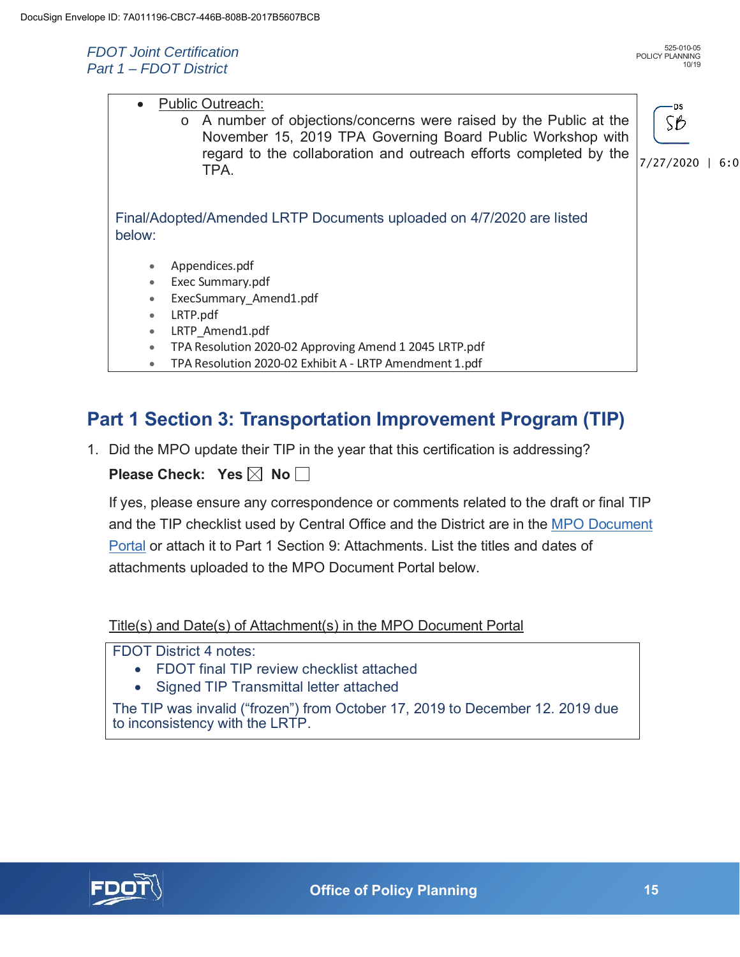| <b>Public Outreach:</b><br>$\bullet$<br>A number of objections/concerns were raised by the Public at the<br>$\circ$<br>November 15, 2019 TPA Governing Board Public Workshop with<br>regard to the collaboration and outreach efforts completed by the<br>TPA. | ۰DS<br>SB<br>7/27/2020<br>6:0 |
|----------------------------------------------------------------------------------------------------------------------------------------------------------------------------------------------------------------------------------------------------------------|-------------------------------|
| Final/Adopted/Amended LRTP Documents uploaded on 4/7/2020 are listed<br>below:                                                                                                                                                                                 |                               |
| Appendices.pdf                                                                                                                                                                                                                                                 |                               |
| Exec Summary.pdf                                                                                                                                                                                                                                               |                               |
| ExecSummary_Amend1.pdf<br>$\bullet$                                                                                                                                                                                                                            |                               |
| LRTP.pdf<br>$\bullet$                                                                                                                                                                                                                                          |                               |
| LRTP Amend1.pdf<br>$\bullet$                                                                                                                                                                                                                                   |                               |
| TPA Resolution 2020-02 Approving Amend 1 2045 LRTP.pdf<br>$\bullet$                                                                                                                                                                                            |                               |
| TPA Resolution 2020-02 Exhibit A - LRTP Amendment 1.pdf                                                                                                                                                                                                        |                               |

## **Part 1 Section 3: Transportation Improvement Program (TIP)**

1. Did the MPO update their TIP in the year that this certification is addressing?

**Please Check: Yes**  $\boxtimes$  **No**  $\Box$ 

If yes, please ensure any correspondence or comments related to the draft or final TIP and the TIP checklist used by Central Office and the District are in the MPO Document Portal or attach it to Part 1 Section 9: Attachments. List the titles and dates of attachments uploaded to the MPO Document Portal below.

Title(s) and Date(s) of Attachment(s) in the MPO Document Portal

FDOT District 4 notes:

- FDOT final TIP review checklist attached
- Signed TIP Transmittal letter attached

The TIP was invalid ("frozen") from October 17, 2019 to December 12. 2019 due to inconsistency with the LRTP.

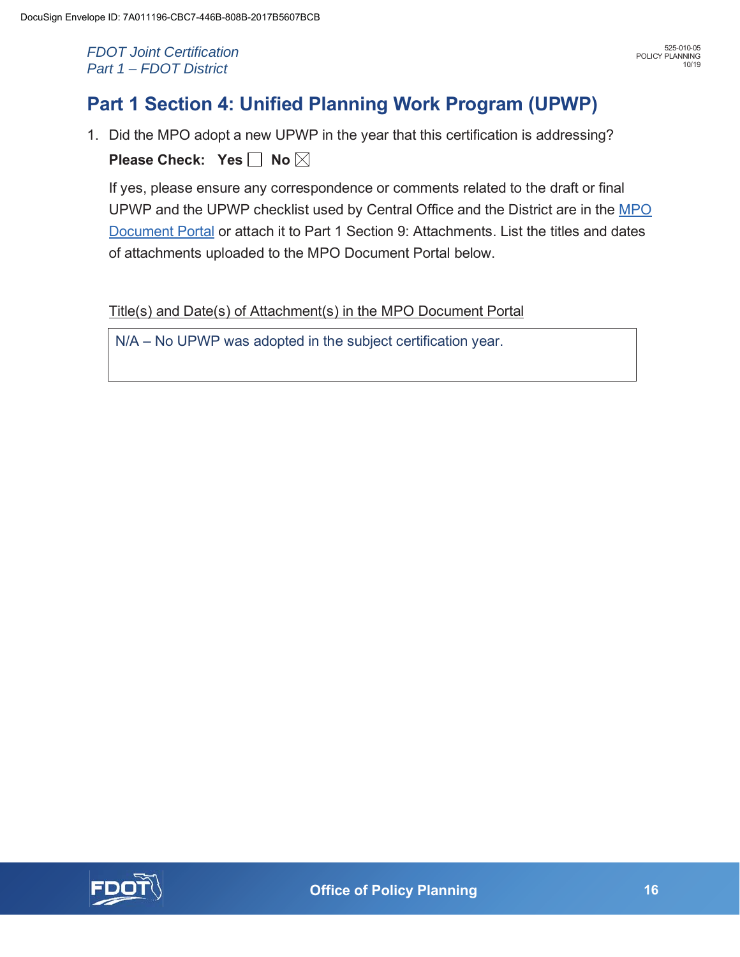## **Part 1 Section 4: Unified Planning Work Program (UPWP)**

1. Did the MPO adopt a new UPWP in the year that this certification is addressing? **Please Check: Yes | No**  $\boxtimes$ 

If yes, please ensure any correspondence or comments related to the draft or final UPWP and the UPWP checklist used by Central Office and the District are in the MPO Document Portal or attach it to Part 1 Section 9: Attachments. List the titles and dates of attachments uploaded to the MPO Document Portal below.

Title(s) and Date(s) of Attachment(s) in the MPO Document Portal

N/A – No UPWP was adopted in the subject certification year.

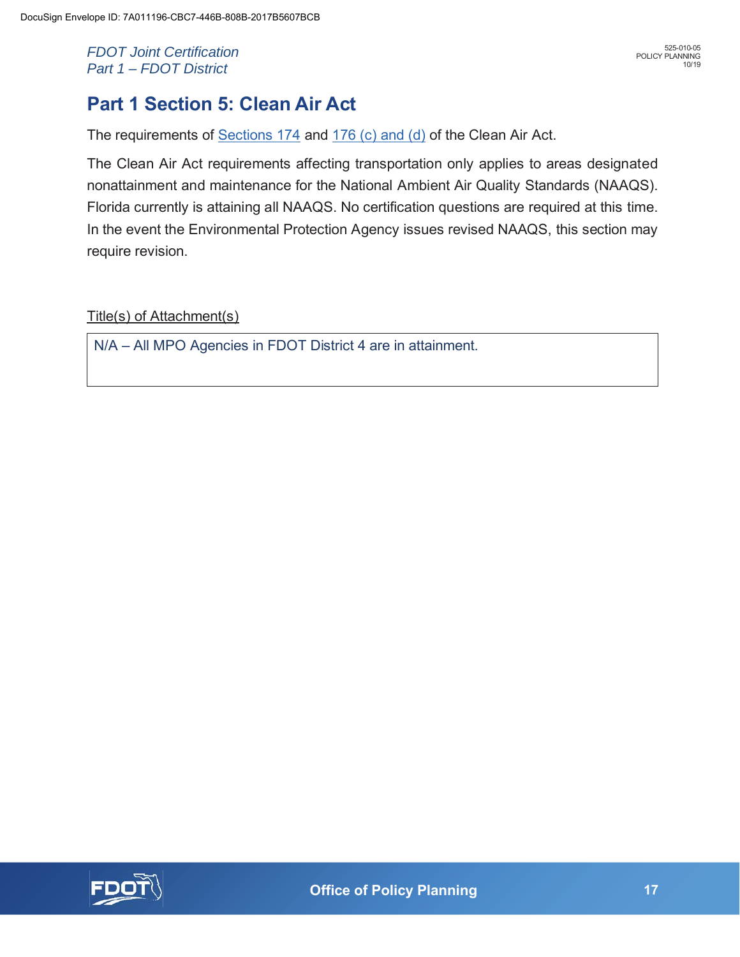## **Part 1 Section 5: Clean Air Act**

The requirements of Sections 174 and 176 (c) and (d) of the Clean Air Act.

The Clean Air Act requirements affecting transportation only applies to areas designated nonattainment and maintenance for the National Ambient Air Quality Standards (NAAQS). Florida currently is attaining all NAAQS. No certification questions are required at this time. In the event the Environmental Protection Agency issues revised NAAQS, this section may require revision.

Title(s) of Attachment(s)

N/A – All MPO Agencies in FDOT District 4 are in attainment.

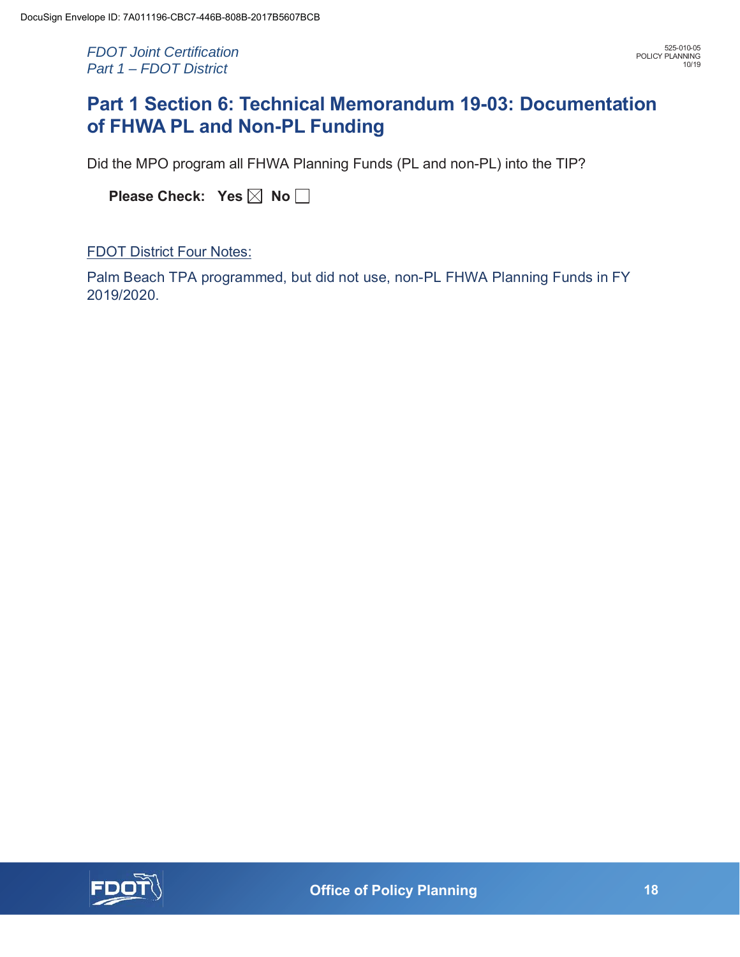## **Part 1 Section 6: Technical Memorandum 19-03: Documentation of FHWA PL and Non-PL Funding**

Did the MPO program all FHWA Planning Funds (PL and non-PL) into the TIP?

| Please Check: Yes ⊠ No |  |  |  |  |
|------------------------|--|--|--|--|
|------------------------|--|--|--|--|

FDOT District Four Notes:

Palm Beach TPA programmed, but did not use, non-PL FHWA Planning Funds in FY 2019/2020.

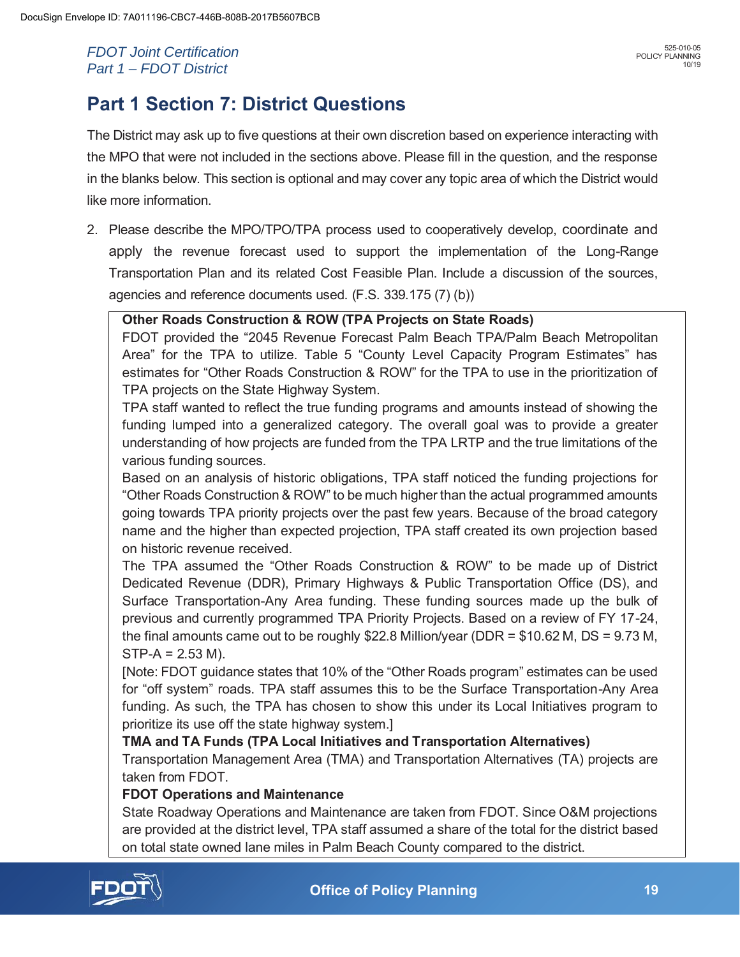## **Part 1 Section 7: District Questions**

The District may ask up to five questions at their own discretion based on experience interacting with the MPO that were not included in the sections above. Please fill in the question, and the response in the blanks below. This section is optional and may cover any topic area of which the District would like more information.

2. Please describe the MPO/TPO/TPA process used to cooperatively develop, coordinate and apply the revenue forecast used to support the implementation of the Long-Range Transportation Plan and its related Cost Feasible Plan. Include a discussion of the sources, agencies and reference documents used. (F.S. 339.175 (7) (b))

**Other Roads Construction & ROW (TPA Projects on State Roads)** 

FDOT provided the "2045 Revenue Forecast Palm Beach TPA/Palm Beach Metropolitan Area" for the TPA to utilize. Table 5 "County Level Capacity Program Estimates" has estimates for "Other Roads Construction & ROW" for the TPA to use in the prioritization of TPA projects on the State Highway System.

TPA staff wanted to reflect the true funding programs and amounts instead of showing the funding lumped into a generalized category. The overall goal was to provide a greater understanding of how projects are funded from the TPA LRTP and the true limitations of the various funding sources.

Based on an analysis of historic obligations, TPA staff noticed the funding projections for "Other Roads Construction & ROW" to be much higher than the actual programmed amounts going towards TPA priority projects over the past few years. Because of the broad category name and the higher than expected projection, TPA staff created its own projection based on historic revenue received.

The TPA assumed the "Other Roads Construction & ROW" to be made up of District Dedicated Revenue (DDR), Primary Highways & Public Transportation Office (DS), and Surface Transportation-Any Area funding. These funding sources made up the bulk of previous and currently programmed TPA Priority Projects. Based on a review of FY 17-24, the final amounts came out to be roughly \$22.8 Million/year (DDR = \$10.62 M, DS = 9.73 M,  $STP-A = 2.53 M$ ).

[Note: FDOT guidance states that 10% of the "Other Roads program" estimates can be used for "off system" roads. TPA staff assumes this to be the Surface Transportation-Any Area funding. As such, the TPA has chosen to show this under its Local Initiatives program to prioritize its use off the state highway system.]

### **TMA and TA Funds (TPA Local Initiatives and Transportation Alternatives)**

Transportation Management Area (TMA) and Transportation Alternatives (TA) projects are taken from FDOT.

### **FDOT Operations and Maintenance**

State Roadway Operations and Maintenance are taken from FDOT. Since O&M projections are provided at the district level, TPA staff assumed a share of the total for the district based on total state owned lane miles in Palm Beach County compared to the district.

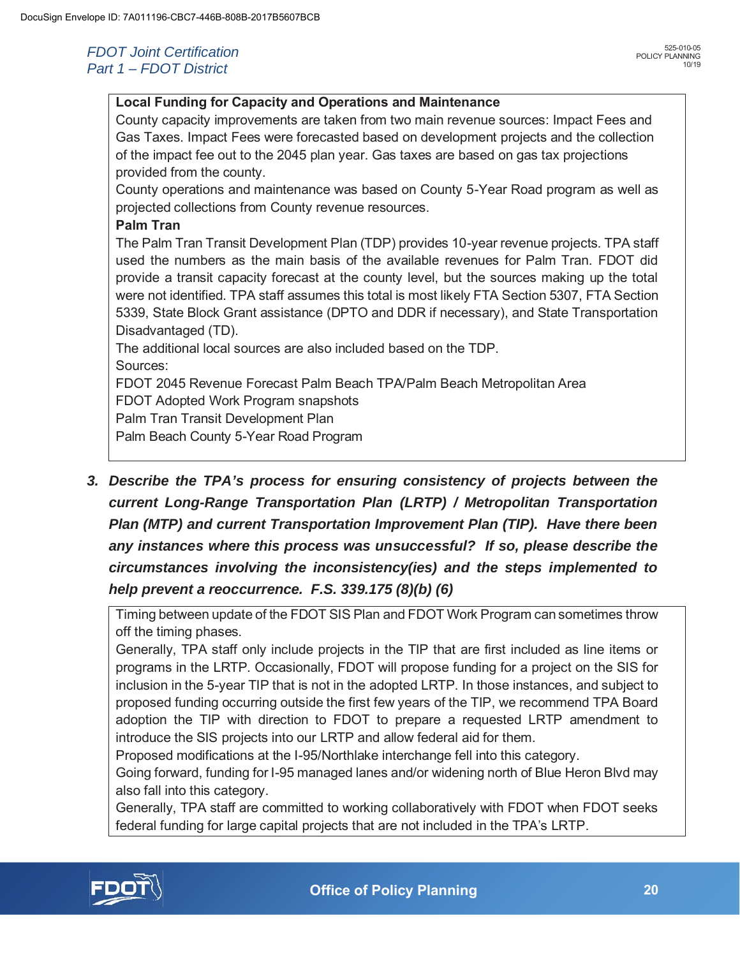#### **Local Funding for Capacity and Operations and Maintenance**

County capacity improvements are taken from two main revenue sources: Impact Fees and Gas Taxes. Impact Fees were forecasted based on development projects and the collection of the impact fee out to the 2045 plan year. Gas taxes are based on gas tax projections provided from the county.

County operations and maintenance was based on County 5-Year Road program as well as projected collections from County revenue resources.

#### **Palm Tran**

The Palm Tran Transit Development Plan (TDP) provides 10-year revenue projects. TPA staff used the numbers as the main basis of the available revenues for Palm Tran. FDOT did provide a transit capacity forecast at the county level, but the sources making up the total were not identified. TPA staff assumes this total is most likely FTA Section 5307, FTA Section 5339, State Block Grant assistance (DPTO and DDR if necessary), and State Transportation Disadvantaged (TD).

The additional local sources are also included based on the TDP.

Sources:

FDOT 2045 Revenue Forecast Palm Beach TPA/Palm Beach Metropolitan Area

FDOT Adopted Work Program snapshots

Palm Tran Transit Development Plan

Palm Beach County 5-Year Road Program

*3. Describe the TPA's process for ensuring consistency of projects between the current Long-Range Transportation Plan (LRTP) / Metropolitan Transportation Plan (MTP) and current Transportation Improvement Plan (TIP). Have there been any instances where this process was unsuccessful? If so, please describe the circumstances involving the inconsistency(ies) and the steps implemented to help prevent a reoccurrence. F.S. 339.175 (8)(b) (6)* 

Timing between update of the FDOT SIS Plan and FDOT Work Program can sometimes throw off the timing phases.

Generally, TPA staff only include projects in the TIP that are first included as line items or programs in the LRTP. Occasionally, FDOT will propose funding for a project on the SIS for inclusion in the 5-year TIP that is not in the adopted LRTP. In those instances, and subject to proposed funding occurring outside the first few years of the TIP, we recommend TPA Board adoption the TIP with direction to FDOT to prepare a requested LRTP amendment to introduce the SIS projects into our LRTP and allow federal aid for them.

Proposed modifications at the I-95/Northlake interchange fell into this category.

Going forward, funding for I-95 managed lanes and/or widening north of Blue Heron Blvd may also fall into this category.

Generally, TPA staff are committed to working collaboratively with FDOT when FDOT seeks federal funding for large capital projects that are not included in the TPA's LRTP.

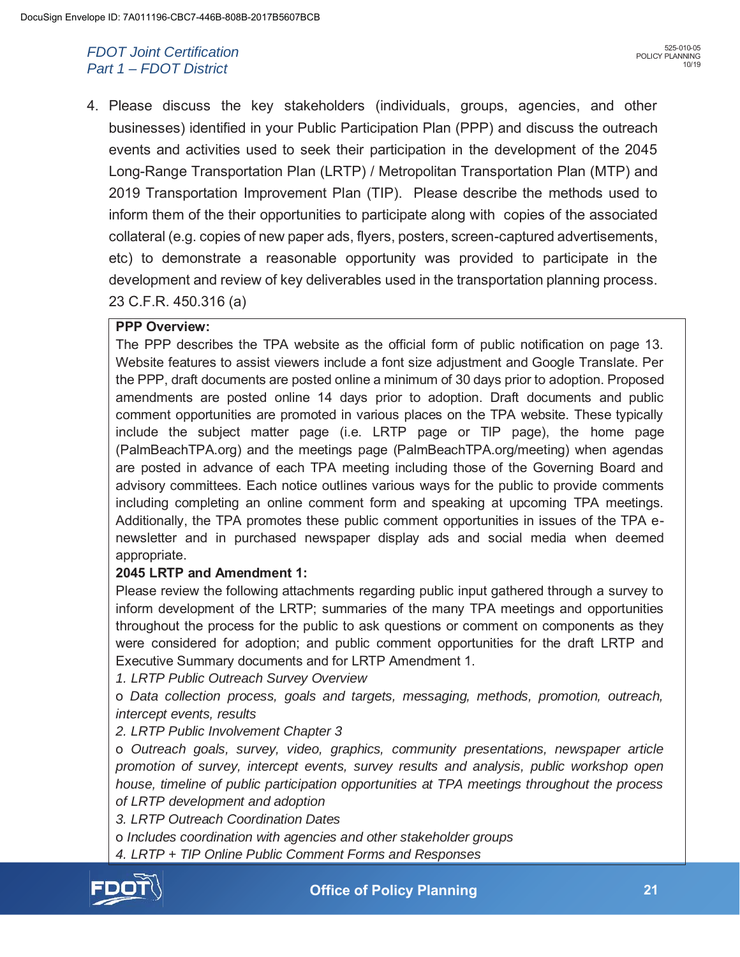4. Please discuss the key stakeholders (individuals, groups, agencies, and other businesses) identified in your Public Participation Plan (PPP) and discuss the outreach events and activities used to seek their participation in the development of the 2045 Long-Range Transportation Plan (LRTP) / Metropolitan Transportation Plan (MTP) and 2019 Transportation Improvement Plan (TIP). Please describe the methods used to inform them of the their opportunities to participate along with copies of the associated collateral (e.g. copies of new paper ads, flyers, posters, screen-captured advertisements, etc) to demonstrate a reasonable opportunity was provided to participate in the development and review of key deliverables used in the transportation planning process. 23 C.F.R. 450.316 (a)

#### **PPP Overview:**

The PPP describes the TPA website as the official form of public notification on page 13. Website features to assist viewers include a font size adjustment and Google Translate. Per the PPP, draft documents are posted online a minimum of 30 days prior to adoption. Proposed amendments are posted online 14 days prior to adoption. Draft documents and public comment opportunities are promoted in various places on the TPA website. These typically include the subject matter page (i.e. LRTP page or TIP page), the home page (PalmBeachTPA.org) and the meetings page (PalmBeachTPA.org/meeting) when agendas are posted in advance of each TPA meeting including those of the Governing Board and advisory committees. Each notice outlines various ways for the public to provide comments including completing an online comment form and speaking at upcoming TPA meetings. Additionally, the TPA promotes these public comment opportunities in issues of the TPA enewsletter and in purchased newspaper display ads and social media when deemed appropriate.

#### **2045 LRTP and Amendment 1:**

Please review the following attachments regarding public input gathered through a survey to inform development of the LRTP; summaries of the many TPA meetings and opportunities throughout the process for the public to ask questions or comment on components as they were considered for adoption; and public comment opportunities for the draft LRTP and Executive Summary documents and for LRTP Amendment 1.

*1. LRTP Public Outreach Survey Overview* 

o *Data collection process, goals and targets, messaging, methods, promotion, outreach, intercept events, results* 

*2. LRTP Public Involvement Chapter 3* 

o *Outreach goals, survey, video, graphics, community presentations, newspaper article promotion of survey, intercept events, survey results and analysis, public workshop open house, timeline of public participation opportunities at TPA meetings throughout the process of LRTP development and adoption* 

*3. LRTP Outreach Coordination Dates* 

o *Includes coordination with agencies and other stakeholder groups* 

*4. LRTP + TIP Online Public Comment Forms and Responses* 



 **21 Office of Policy Planning**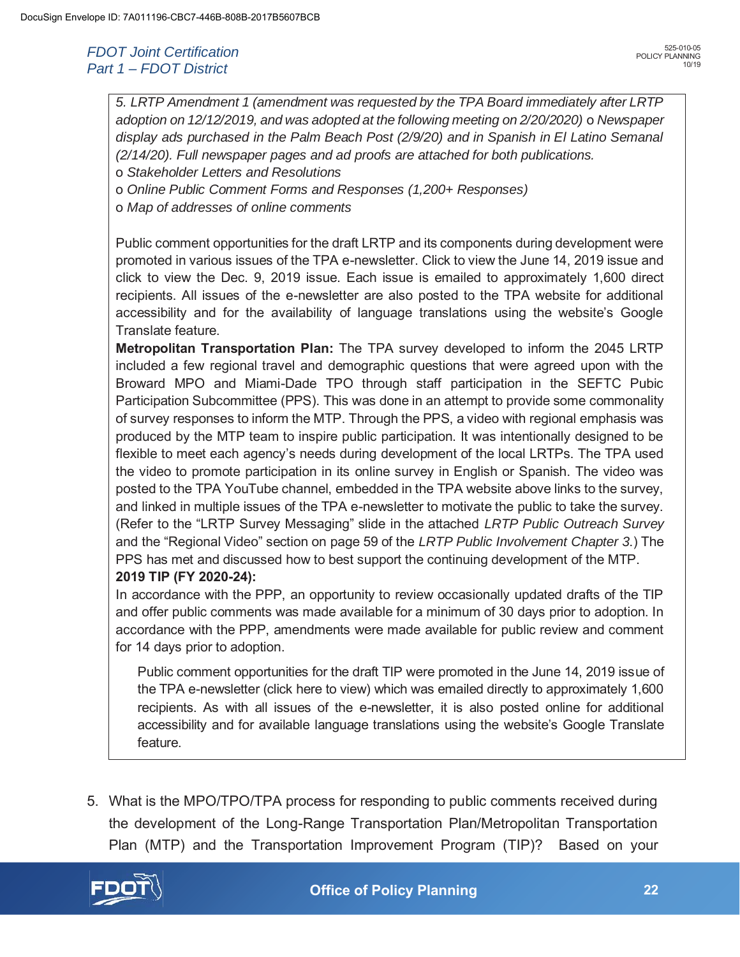*5. LRTP Amendment 1 (amendment was requested by the TPA Board immediately after LRTP adoption on 12/12/2019, and was adopted at the following meeting on 2/20/2020)* o *Newspaper display ads purchased in the Palm Beach Post (2/9/20) and in Spanish in El Latino Semanal (2/14/20). Full newspaper pages and ad proofs are attached for both publications.* 

- o *Stakeholder Letters and Resolutions*
- o *Online Public Comment Forms and Responses (1,200+ Responses)*
- o *Map of addresses of online comments*

Public comment opportunities for the draft LRTP and its components during development were promoted in various issues of the TPA e-newsletter. Click to view the June 14, 2019 issue and click to view the Dec. 9, 2019 issue. Each issue is emailed to approximately 1,600 direct recipients. All issues of the e-newsletter are also posted to the TPA website for additional accessibility and for the availability of language translations using the website's Google Translate feature.

**Metropolitan Transportation Plan:** The TPA survey developed to inform the 2045 LRTP included a few regional travel and demographic questions that were agreed upon with the Broward MPO and Miami-Dade TPO through staff participation in the SEFTC Pubic Participation Subcommittee (PPS). This was done in an attempt to provide some commonality of survey responses to inform the MTP. Through the PPS, a video with regional emphasis was produced by the MTP team to inspire public participation. It was intentionally designed to be flexible to meet each agency's needs during development of the local LRTPs. The TPA used the video to promote participation in its online survey in English or Spanish. The video was posted to the TPA YouTube channel, embedded in the TPA website above links to the survey, and linked in multiple issues of the TPA e-newsletter to motivate the public to take the survey. (Refer to the "LRTP Survey Messaging" slide in the attached *LRTP Public Outreach Survey*  and the "Regional Video" section on page 59 of the *LRTP Public Involvement Chapter 3*.) The PPS has met and discussed how to best support the continuing development of the MTP.

#### **2019 TIP (FY 2020-24):**

In accordance with the PPP, an opportunity to review occasionally updated drafts of the TIP and offer public comments was made available for a minimum of 30 days prior to adoption. In accordance with the PPP, amendments were made available for public review and comment for 14 days prior to adoption.

Public comment opportunities for the draft TIP were promoted in the June 14, 2019 issue of the TPA e-newsletter (click here to view) which was emailed directly to approximately 1,600 recipients. As with all issues of the e-newsletter, it is also posted online for additional accessibility and for available language translations using the website's Google Translate feature.

5. What is the MPO/TPO/TPA process for responding to public comments received during the development of the Long-Range Transportation Plan/Metropolitan Transportation Plan (MTP) and the Transportation Improvement Program (TIP)? Based on your

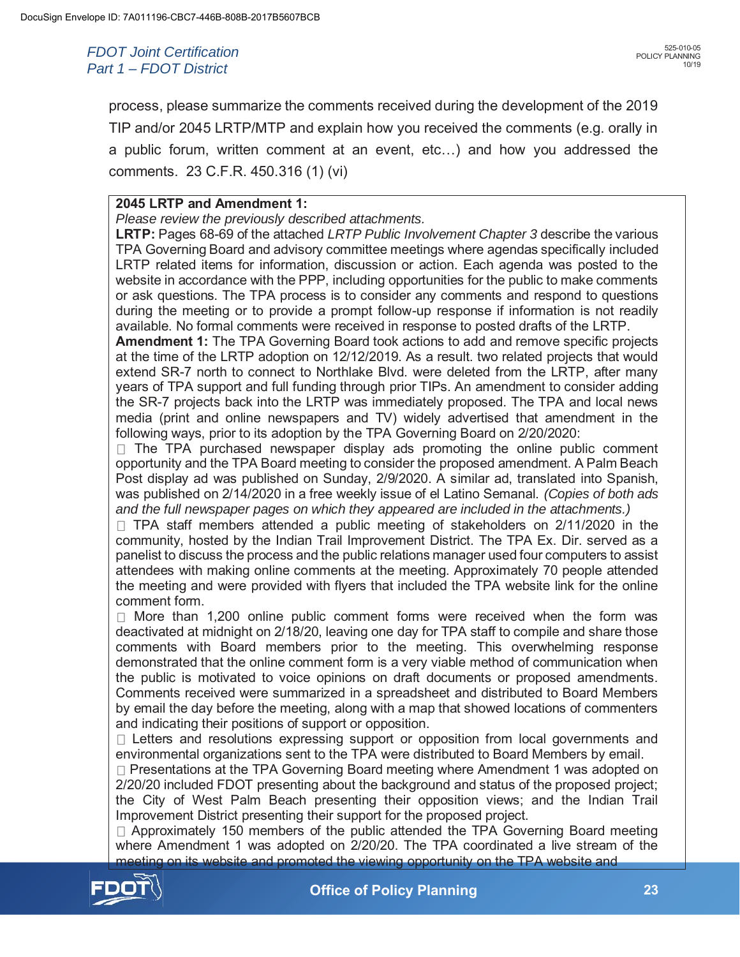process, please summarize the comments received during the development of the 2019 TIP and/or 2045 LRTP/MTP and explain how you received the comments (e.g. orally in a public forum, written comment at an event, etc…) and how you addressed the comments. 23 C.F.R. 450.316 (1) (vi)

#### **2045 LRTP and Amendment 1:**

*Please review the previously described attachments.* 

**LRTP:** Pages 68-69 of the attached *LRTP Public Involvement Chapter 3* describe the various TPA Governing Board and advisory committee meetings where agendas specifically included LRTP related items for information, discussion or action. Each agenda was posted to the website in accordance with the PPP, including opportunities for the public to make comments or ask questions. The TPA process is to consider any comments and respond to questions during the meeting or to provide a prompt follow-up response if information is not readily available. No formal comments were received in response to posted drafts of the LRTP.

**Amendment 1:** The TPA Governing Board took actions to add and remove specific projects at the time of the LRTP adoption on 12/12/2019. As a result. two related projects that would extend SR-7 north to connect to Northlake Blvd. were deleted from the LRTP, after many years of TPA support and full funding through prior TIPs. An amendment to consider adding the SR-7 projects back into the LRTP was immediately proposed. The TPA and local news media (print and online newspapers and TV) widely advertised that amendment in the following ways, prior to its adoption by the TPA Governing Board on 2/20/2020:

 $\Box$  The TPA purchased newspaper display ads promoting the online public comment opportunity and the TPA Board meeting to consider the proposed amendment. A Palm Beach Post display ad was published on Sunday, 2/9/2020. A similar ad, translated into Spanish, was published on 2/14/2020 in a free weekly issue of el Latino Semanal. *(Copies of both ads and the full newspaper pages on which they appeared are included in the attachments.)* 

 $\Box$  TPA staff members attended a public meeting of stakeholders on 2/11/2020 in the community, hosted by the Indian Trail Improvement District. The TPA Ex. Dir. served as a panelist to discuss the process and the public relations manager used four computers to assist attendees with making online comments at the meeting. Approximately 70 people attended the meeting and were provided with flyers that included the TPA website link for the online comment form.

 $\Box$  More than 1,200 online public comment forms were received when the form was deactivated at midnight on 2/18/20, leaving one day for TPA staff to compile and share those comments with Board members prior to the meeting. This overwhelming response demonstrated that the online comment form is a very viable method of communication when the public is motivated to voice opinions on draft documents or proposed amendments. Comments received were summarized in a spreadsheet and distributed to Board Members by email the day before the meeting, along with a map that showed locations of commenters and indicating their positions of support or opposition.

 $\Box$  Letters and resolutions expressing support or opposition from local governments and environmental organizations sent to the TPA were distributed to Board Members by email.

□ Presentations at the TPA Governing Board meeting where Amendment 1 was adopted on 2/20/20 included FDOT presenting about the background and status of the proposed project; the City of West Palm Beach presenting their opposition views; and the Indian Trail Improvement District presenting their support for the proposed project.

 $\Box$  Approximately 150 members of the public attended the TPA Governing Board meeting where Amendment 1 was adopted on 2/20/20. The TPA coordinated a live stream of the meeting on its website and promoted the viewing opportunity on the TPA website and

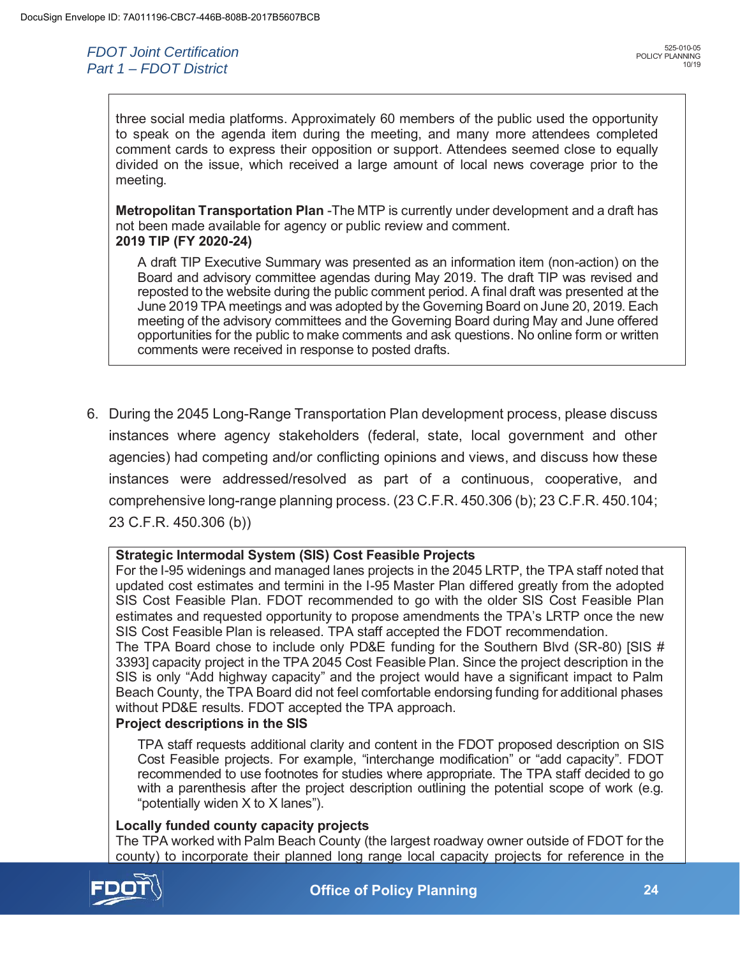three social media platforms. Approximately 60 members of the public used the opportunity to speak on the agenda item during the meeting, and many more attendees completed comment cards to express their opposition or support. Attendees seemed close to equally divided on the issue, which received a large amount of local news coverage prior to the meeting.

**Metropolitan Transportation Plan** -The MTP is currently under development and a draft has not been made available for agency or public review and comment. **2019 TIP (FY 2020-24)** 

A draft TIP Executive Summary was presented as an information item (non-action) on the Board and advisory committee agendas during May 2019. The draft TIP was revised and reposted to the website during the public comment period. A final draft was presented at the June 2019 TPA meetings and was adopted by the Governing Board on June 20, 2019. Each meeting of the advisory committees and the Governing Board during May and June offered opportunities for the public to make comments and ask questions. No online form or written comments were received in response to posted drafts.

6. During the 2045 Long-Range Transportation Plan development process, please discuss instances where agency stakeholders (federal, state, local government and other agencies) had competing and/or conflicting opinions and views, and discuss how these instances were addressed/resolved as part of a continuous, cooperative, and comprehensive long-range planning process. (23 C.F.R. 450.306 (b); 23 C.F.R. 450.104; 23 C.F.R. 450.306 (b))

#### **Strategic Intermodal System (SIS) Cost Feasible Projects**

For the I-95 widenings and managed lanes projects in the 2045 LRTP, the TPA staff noted that updated cost estimates and termini in the I-95 Master Plan differed greatly from the adopted SIS Cost Feasible Plan. FDOT recommended to go with the older SIS Cost Feasible Plan estimates and requested opportunity to propose amendments the TPA's LRTP once the new SIS Cost Feasible Plan is released. TPA staff accepted the FDOT recommendation.

The TPA Board chose to include only PD&E funding for the Southern Blvd (SR-80) [SIS # 3393] capacity project in the TPA 2045 Cost Feasible Plan. Since the project description in the SIS is only "Add highway capacity" and the project would have a significant impact to Palm Beach County, the TPA Board did not feel comfortable endorsing funding for additional phases without PD&E results. FDOT accepted the TPA approach.

#### **Project descriptions in the SIS**

TPA staff requests additional clarity and content in the FDOT proposed description on SIS Cost Feasible projects. For example, "interchange modification" or "add capacity". FDOT recommended to use footnotes for studies where appropriate. The TPA staff decided to go with a parenthesis after the project description outlining the potential scope of work (e.g. "potentially widen X to X lanes").

#### **Locally funded county capacity projects**

The TPA worked with Palm Beach County (the largest roadway owner outside of FDOT for the county) to incorporate their planned long range local capacity projects for reference in the



 **24 Office of Policy Planning**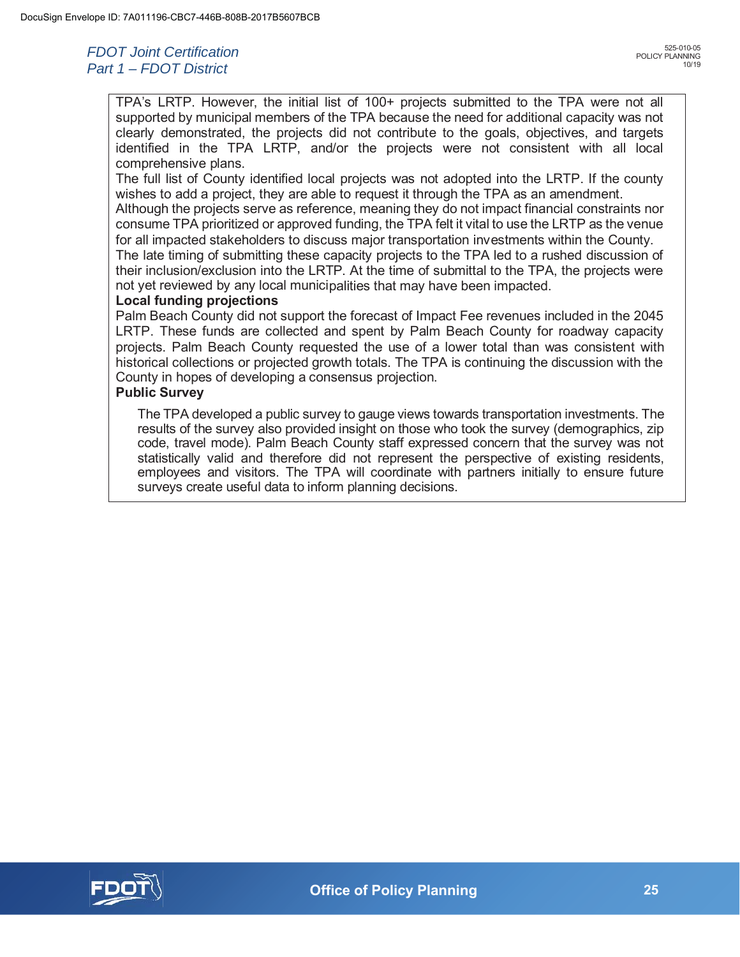TPA's LRTP. However, the initial list of 100+ projects submitted to the TPA were not all supported by municipal members of the TPA because the need for additional capacity was not clearly demonstrated, the projects did not contribute to the goals, objectives, and targets identified in the TPA LRTP, and/or the projects were not consistent with all local comprehensive plans.

The full list of County identified local projects was not adopted into the LRTP. If the county wishes to add a project, they are able to request it through the TPA as an amendment.

Although the projects serve as reference, meaning they do not impact financial constraints nor consume TPA prioritized or approved funding, the TPA felt it vital to use the LRTP as the venue for all impacted stakeholders to discuss major transportation investments within the County.

The late timing of submitting these capacity projects to the TPA led to a rushed discussion of their inclusion/exclusion into the LRTP. At the time of submittal to the TPA, the projects were not yet reviewed by any local municipalities that may have been impacted.

#### **Local funding projections**

Palm Beach County did not support the forecast of Impact Fee revenues included in the 2045 LRTP. These funds are collected and spent by Palm Beach County for roadway capacity projects. Palm Beach County requested the use of a lower total than was consistent with historical collections or projected growth totals. The TPA is continuing the discussion with the County in hopes of developing a consensus projection.

#### **Public Survey**

The TPA developed a public survey to gauge views towards transportation investments. The results of the survey also provided insight on those who took the survey (demographics, zip code, travel mode). Palm Beach County staff expressed concern that the survey was not statistically valid and therefore did not represent the perspective of existing residents, employees and visitors. The TPA will coordinate with partners initially to ensure future surveys create useful data to inform planning decisions.

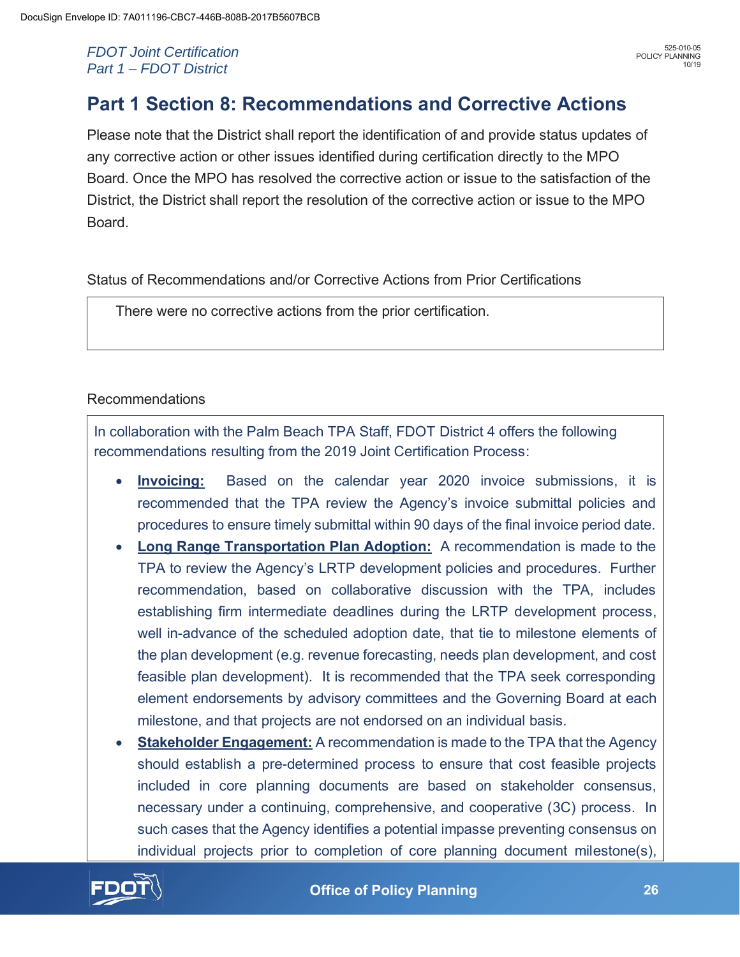## **Part 1 Section 8: Recommendations and Corrective Actions**

Please note that the District shall report the identification of and provide status updates of any corrective action or other issues identified during certification directly to the MPO Board. Once the MPO has resolved the corrective action or issue to the satisfaction of the District, the District shall report the resolution of the corrective action or issue to the MPO Board.

Status of Recommendations and/or Corrective Actions from Prior Certifications

There were no corrective actions from the prior certification.

### Recommendations

In collaboration with the Palm Beach TPA Staff, FDOT District 4 offers the following recommendations resulting from the 2019 Joint Certification Process:

- **Invoicing:** Based on the calendar year 2020 invoice submissions, it is recommended that the TPA review the Agency's invoice submittal policies and procedures to ensure timely submittal within 90 days of the final invoice period date.
- **Long Range Transportation Plan Adoption:** A recommendation is made to the TPA to review the Agency's LRTP development policies and procedures. Further recommendation, based on collaborative discussion with the TPA, includes establishing firm intermediate deadlines during the LRTP development process, well in-advance of the scheduled adoption date, that tie to milestone elements of the plan development (e.g. revenue forecasting, needs plan development, and cost feasible plan development). It is recommended that the TPA seek corresponding element endorsements by advisory committees and the Governing Board at each milestone, and that projects are not endorsed on an individual basis.
- **<u>Stakeholder Engagement:</u>** A recommendation is made to the TPA that the Agency should establish a pre-determined process to ensure that cost feasible projects included in core planning documents are based on stakeholder consensus, necessary under a continuing, comprehensive, and cooperative (3C) process. In such cases that the Agency identifies a potential impasse preventing consensus on individual projects prior to completion of core planning document milestone(s),

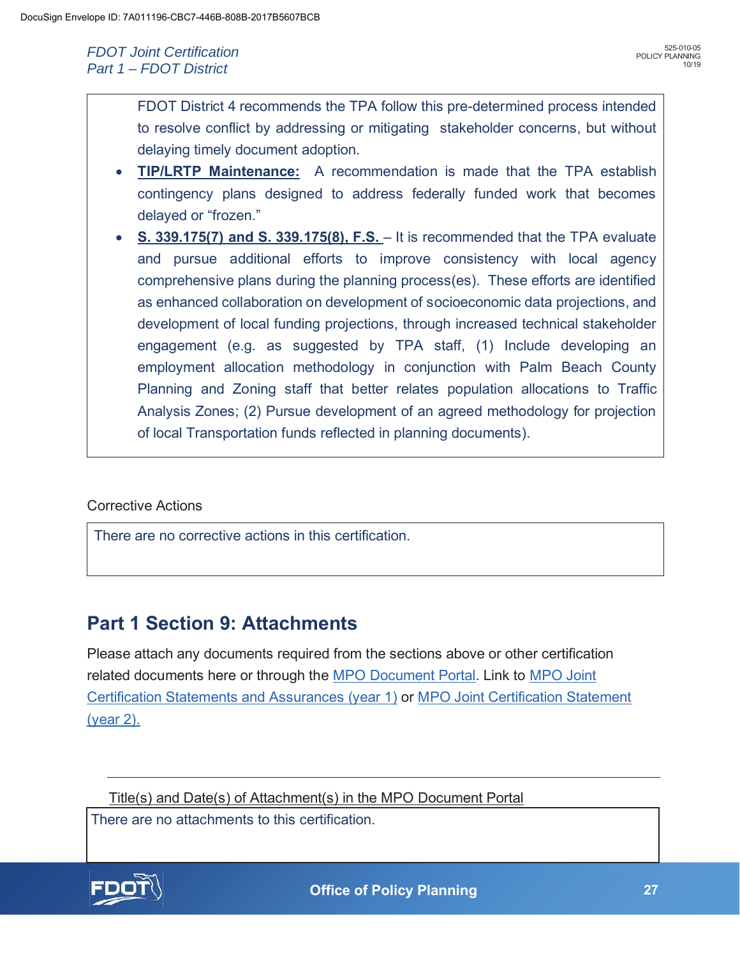FDOT District 4 recommends the TPA follow this pre-determined process intended to resolve conflict by addressing or mitigating stakeholder concerns, but without delaying timely document adoption.

- x **TIP/LRTP Maintenance:** A recommendation is made that the TPA establish contingency plans designed to address federally funded work that becomes delayed or "frozen."
- **S. 339.175(7) and S. 339.175(8), F.S.** It is recommended that the TPA evaluate and pursue additional efforts to improve consistency with local agency comprehensive plans during the planning process(es). These efforts are identified as enhanced collaboration on development of socioeconomic data projections, and development of local funding projections, through increased technical stakeholder engagement (e.g. as suggested by TPA staff, (1) Include developing an employment allocation methodology in conjunction with Palm Beach County Planning and Zoning staff that better relates population allocations to Traffic Analysis Zones; (2) Pursue development of an agreed methodology for projection of local Transportation funds reflected in planning documents).

### Corrective Actions

There are no corrective actions in this certification.

## **Part 1 Section 9: Attachments**

Please attach any documents required from the sections above or other certification related documents here or through the MPO Document Portal. Link to MPO Joint Certification Statements and Assurances (year 1) or MPO Joint Certification Statement (year 2).

Title(s) and Date(s) of Attachment(s) in the MPO Document Portal

There are no attachments to this certification.

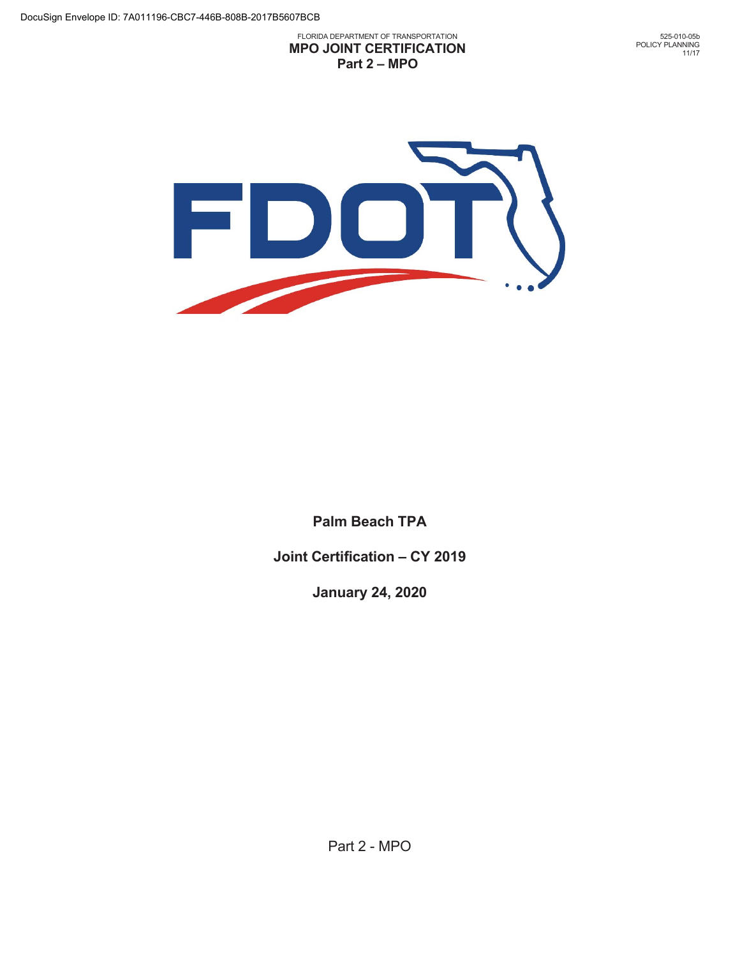FLORIDA DEPARTMENT OF TRANSPORTATION **MPO JOINT CERTIFICATION Part 2 – MPO** 

525-010-05b POLICY PLANNING 11/17



**Palm Beach TPA** 

**Joint Certification – CY 2019** 

**January 24, 2020** 

Part 2 - MPO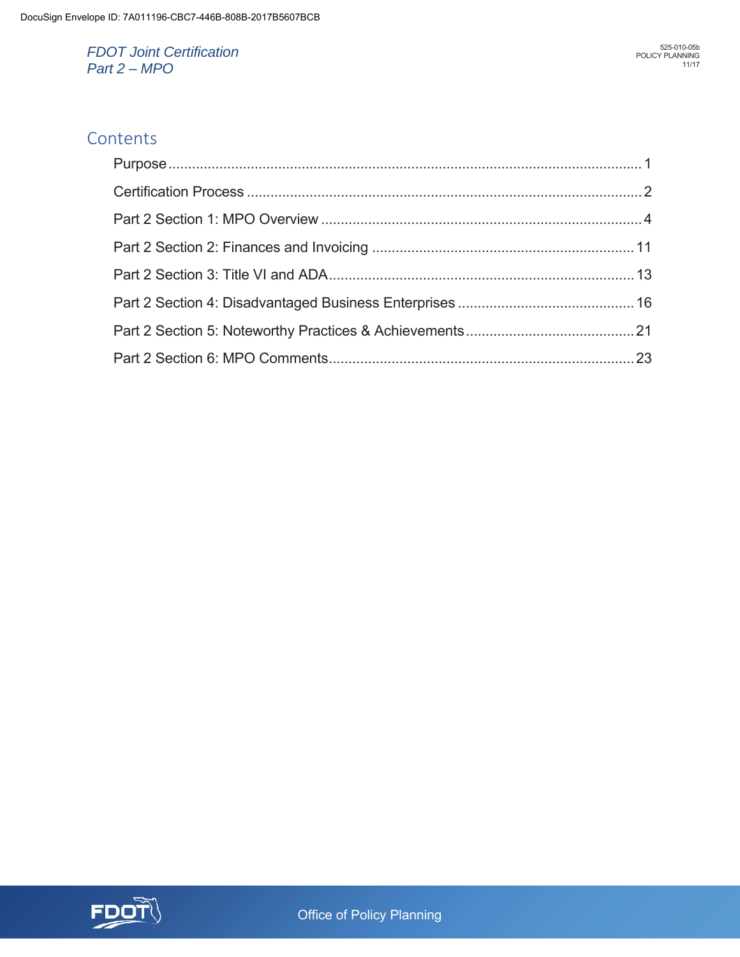## **Contents**

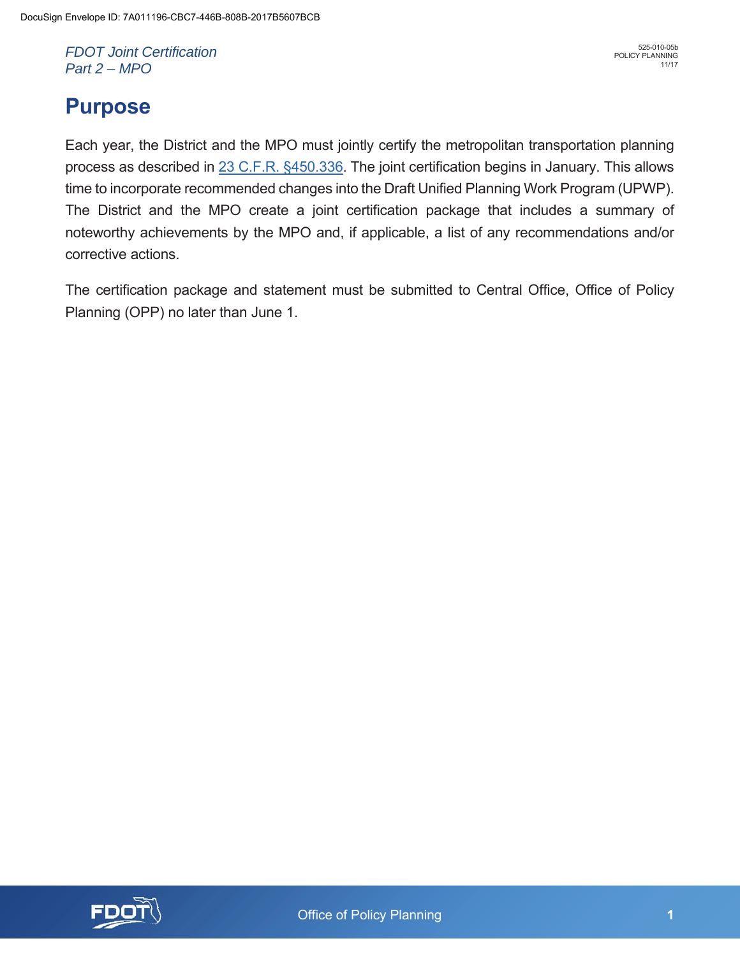# **Purpose**

Each year, the District and the MPO must jointly certify the metropolitan transportation planning process as described in 23 C.F.R. §450.336. The joint certification begins in January. This allows time to incorporate recommended changes into the Draft Unified Planning Work Program (UPWP). The District and the MPO create a joint certification package that includes a summary of noteworthy achievements by the MPO and, if applicable, a list of any recommendations and/or corrective actions.

The certification package and statement must be submitted to Central Office, Office of Policy Planning (OPP) no later than June 1.

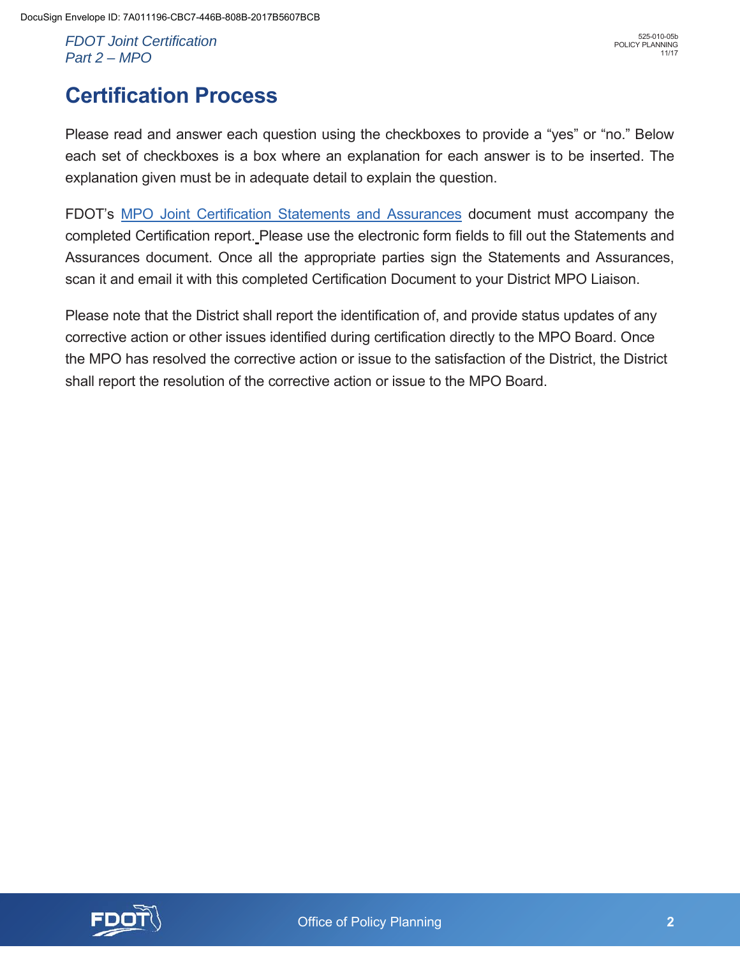# **Certification Process**

Please read and answer each question using the checkboxes to provide a "yes" or "no." Below each set of checkboxes is a box where an explanation for each answer is to be inserted. The explanation given must be in adequate detail to explain the question.

FDOT's MPO Joint Certification Statements and Assurances document must accompany the completed Certification report. Please use the electronic form fields to fill out the Statements and Assurances document. Once all the appropriate parties sign the Statements and Assurances, scan it and email it with this completed Certification Document to your District MPO Liaison.

Please note that the District shall report the identification of, and provide status updates of any corrective action or other issues identified during certification directly to the MPO Board. Once the MPO has resolved the corrective action or issue to the satisfaction of the District, the District shall report the resolution of the corrective action or issue to the MPO Board.

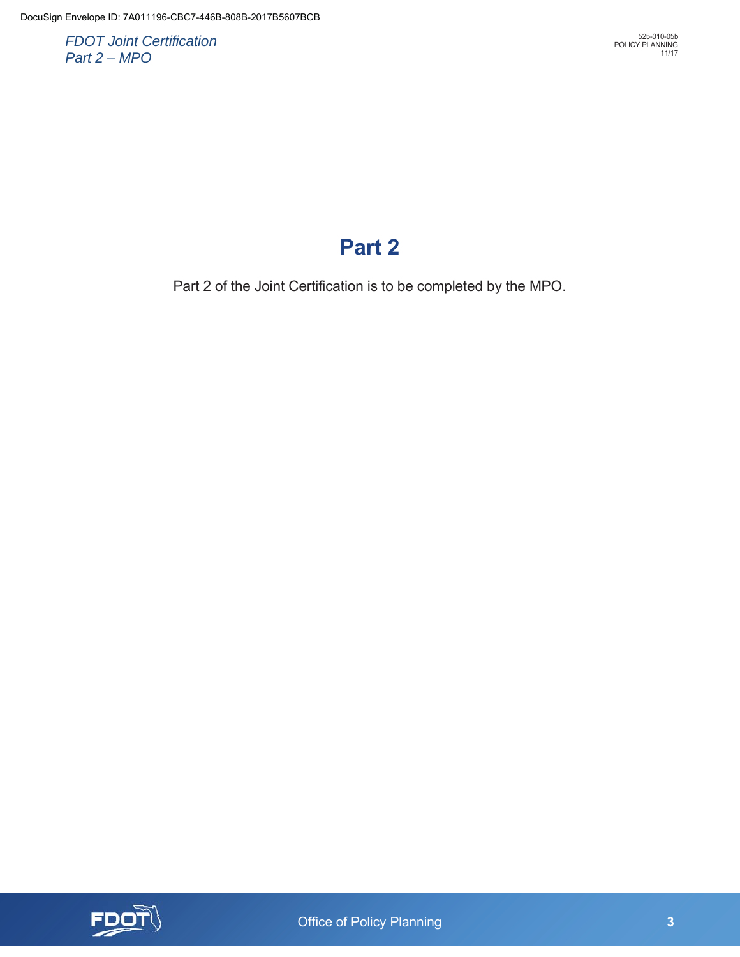# **Part 2**

Part 2 of the Joint Certification is to be completed by the MPO.

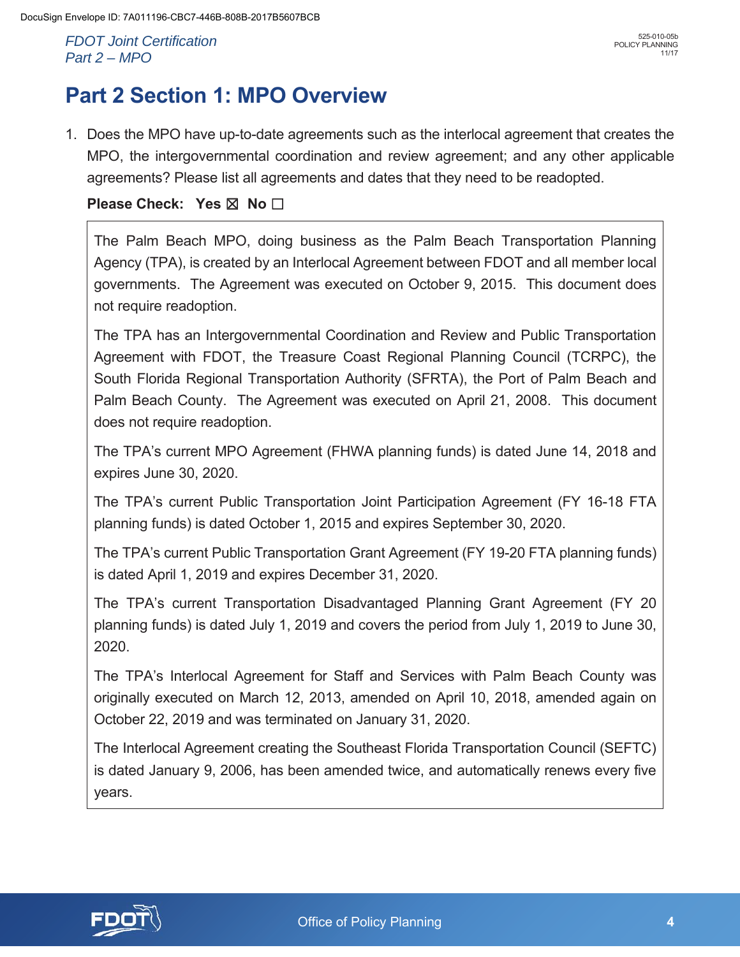# **Part 2 Section 1: MPO Overview**

1. Does the MPO have up-to-date agreements such as the interlocal agreement that creates the MPO, the intergovernmental coordination and review agreement; and any other applicable agreements? Please list all agreements and dates that they need to be readopted.

## **Please Check: Yes ⊠ No** □

The Palm Beach MPO, doing business as the Palm Beach Transportation Planning Agency (TPA), is created by an Interlocal Agreement between FDOT and all member local governments. The Agreement was executed on October 9, 2015. This document does not require readoption.

The TPA has an Intergovernmental Coordination and Review and Public Transportation Agreement with FDOT, the Treasure Coast Regional Planning Council (TCRPC), the South Florida Regional Transportation Authority (SFRTA), the Port of Palm Beach and Palm Beach County. The Agreement was executed on April 21, 2008. This document does not require readoption.

The TPA's current MPO Agreement (FHWA planning funds) is dated June 14, 2018 and expires June 30, 2020.

The TPA's current Public Transportation Joint Participation Agreement (FY 16-18 FTA planning funds) is dated October 1, 2015 and expires September 30, 2020.

The TPA's current Public Transportation Grant Agreement (FY 19-20 FTA planning funds) is dated April 1, 2019 and expires December 31, 2020.

The TPA's current Transportation Disadvantaged Planning Grant Agreement (FY 20 planning funds) is dated July 1, 2019 and covers the period from July 1, 2019 to June 30, 2020.

The TPA's Interlocal Agreement for Staff and Services with Palm Beach County was originally executed on March 12, 2013, amended on April 10, 2018, amended again on October 22, 2019 and was terminated on January 31, 2020.

The Interlocal Agreement creating the Southeast Florida Transportation Council (SEFTC) is dated January 9, 2006, has been amended twice, and automatically renews every five years.

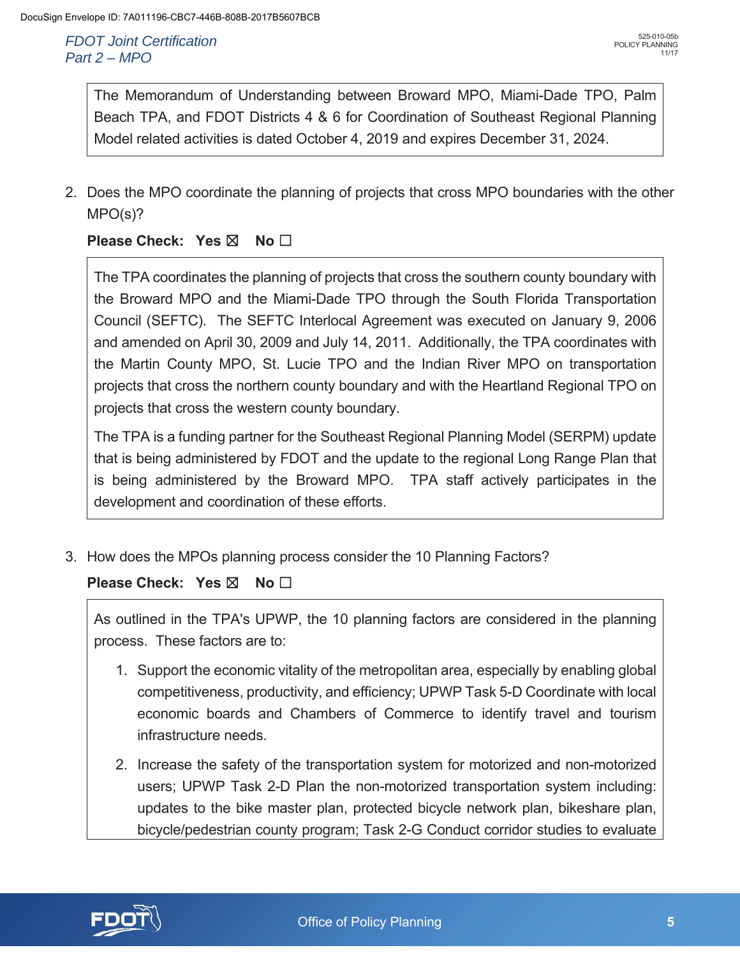The Memorandum of Understanding between Broward MPO, Miami-Dade TPO, Palm Beach TPA, and FDOT Districts 4 & 6 for Coordination of Southeast Regional Planning Model related activities is dated October 4, 2019 and expires December 31, 2024.

2. Does the MPO coordinate the planning of projects that cross MPO boundaries with the other MPO(s)?

## **Please Check: Yes ⊠ No** □

The TPA coordinates the planning of projects that cross the southern county boundary with the Broward MPO and the Miami-Dade TPO through the South Florida Transportation Council (SEFTC). The SEFTC Interlocal Agreement was executed on January 9, 2006 and amended on April 30, 2009 and July 14, 2011. Additionally, the TPA coordinates with the Martin County MPO, St. Lucie TPO and the Indian River MPO on transportation projects that cross the northern county boundary and with the Heartland Regional TPO on projects that cross the western county boundary.

The TPA is a funding partner for the Southeast Regional Planning Model (SERPM) update that is being administered by FDOT and the update to the regional Long Range Plan that is being administered by the Broward MPO. TPA staff actively participates in the development and coordination of these efforts.

3. How does the MPOs planning process consider the 10 Planning Factors?

## **Please Check: Yes ⊠ No** □

As outlined in the TPA's UPWP, the 10 planning factors are considered in the planning process. These factors are to:

- 1. Support the economic vitality of the metropolitan area, especially by enabling global competitiveness, productivity, and efficiency; UPWP Task 5-D Coordinate with local economic boards and Chambers of Commerce to identify travel and tourism infrastructure needs.
- 2. Increase the safety of the transportation system for motorized and non-motorized users; UPWP Task 2-D Plan the non-motorized transportation system including: updates to the bike master plan, protected bicycle network plan, bikeshare plan, bicycle/pedestrian county program; Task 2-G Conduct corridor studies to evaluate

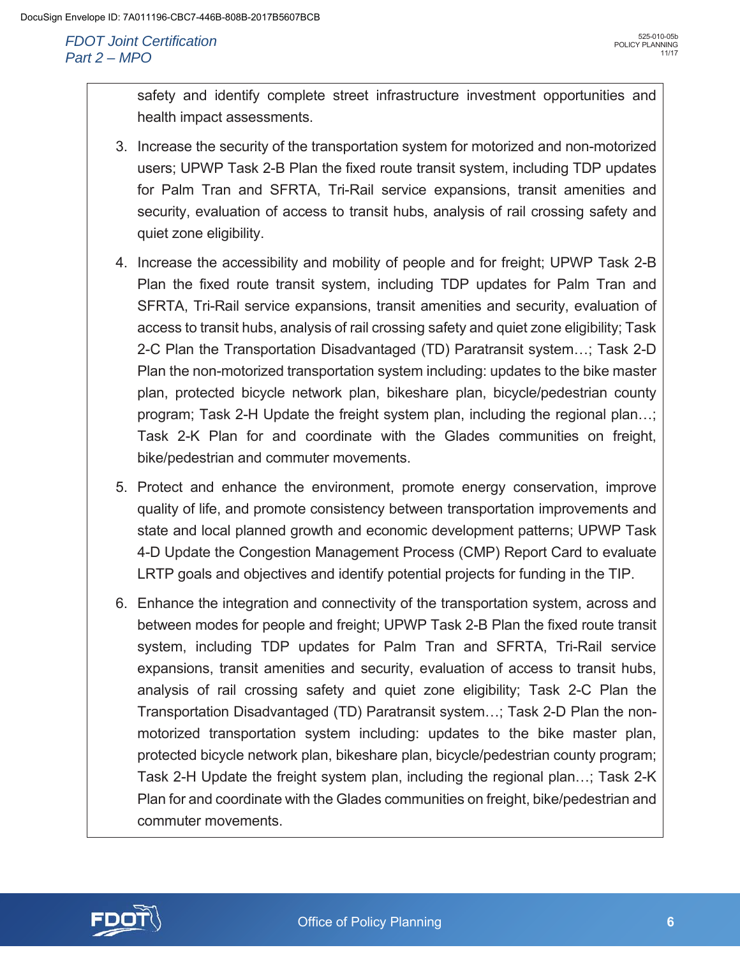safety and identify complete street infrastructure investment opportunities and health impact assessments.

- 3. Increase the security of the transportation system for motorized and non-motorized users; UPWP Task 2-B Plan the fixed route transit system, including TDP updates for Palm Tran and SFRTA, Tri-Rail service expansions, transit amenities and security, evaluation of access to transit hubs, analysis of rail crossing safety and quiet zone eligibility.
- 4. Increase the accessibility and mobility of people and for freight; UPWP Task 2-B Plan the fixed route transit system, including TDP updates for Palm Tran and SFRTA, Tri-Rail service expansions, transit amenities and security, evaluation of access to transit hubs, analysis of rail crossing safety and quiet zone eligibility; Task 2-C Plan the Transportation Disadvantaged (TD) Paratransit system…; Task 2-D Plan the non-motorized transportation system including: updates to the bike master plan, protected bicycle network plan, bikeshare plan, bicycle/pedestrian county program; Task 2-H Update the freight system plan, including the regional plan…; Task 2-K Plan for and coordinate with the Glades communities on freight, bike/pedestrian and commuter movements.
- 5. Protect and enhance the environment, promote energy conservation, improve quality of life, and promote consistency between transportation improvements and state and local planned growth and economic development patterns; UPWP Task 4-D Update the Congestion Management Process (CMP) Report Card to evaluate LRTP goals and objectives and identify potential projects for funding in the TIP.
- 6. Enhance the integration and connectivity of the transportation system, across and between modes for people and freight; UPWP Task 2-B Plan the fixed route transit system, including TDP updates for Palm Tran and SFRTA, Tri-Rail service expansions, transit amenities and security, evaluation of access to transit hubs, analysis of rail crossing safety and quiet zone eligibility; Task 2-C Plan the Transportation Disadvantaged (TD) Paratransit system…; Task 2-D Plan the nonmotorized transportation system including: updates to the bike master plan, protected bicycle network plan, bikeshare plan, bicycle/pedestrian county program; Task 2-H Update the freight system plan, including the regional plan…; Task 2-K Plan for and coordinate with the Glades communities on freight, bike/pedestrian and commuter movements.

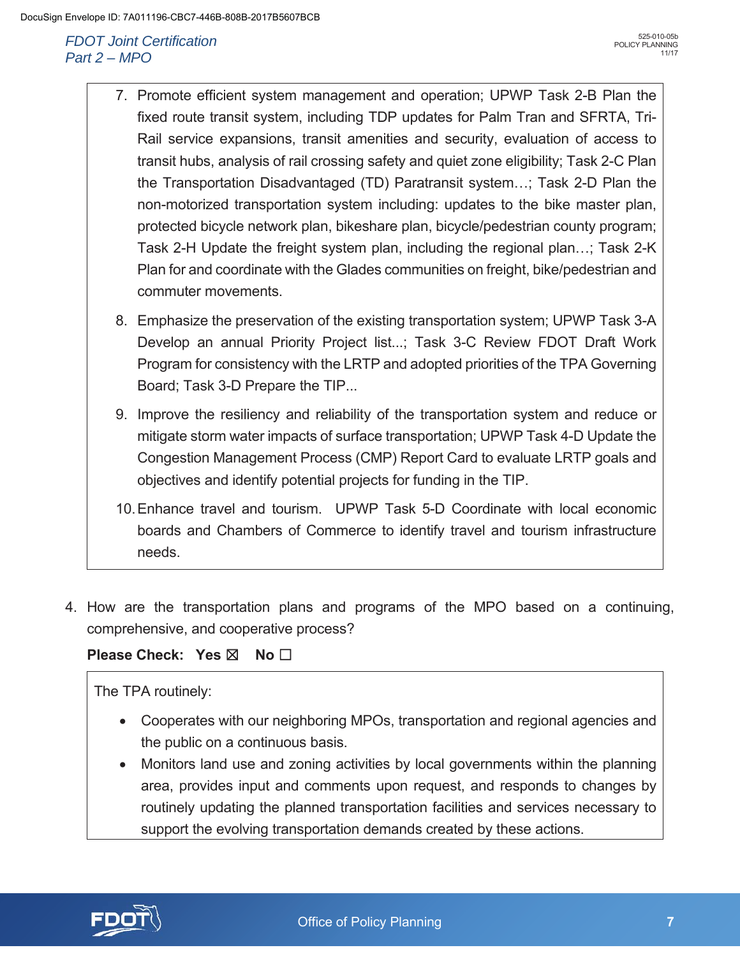- 7. Promote efficient system management and operation; UPWP Task 2-B Plan the fixed route transit system, including TDP updates for Palm Tran and SFRTA, Tri-Rail service expansions, transit amenities and security, evaluation of access to transit hubs, analysis of rail crossing safety and quiet zone eligibility; Task 2-C Plan the Transportation Disadvantaged (TD) Paratransit system…; Task 2-D Plan the non-motorized transportation system including: updates to the bike master plan, protected bicycle network plan, bikeshare plan, bicycle/pedestrian county program; Task 2-H Update the freight system plan, including the regional plan…; Task 2-K Plan for and coordinate with the Glades communities on freight, bike/pedestrian and commuter movements.
- 8. Emphasize the preservation of the existing transportation system; UPWP Task 3-A Develop an annual Priority Project list...; Task 3-C Review FDOT Draft Work Program for consistency with the LRTP and adopted priorities of the TPA Governing Board; Task 3-D Prepare the TIP...
- 9. Improve the resiliency and reliability of the transportation system and reduce or mitigate storm water impacts of surface transportation; UPWP Task 4-D Update the Congestion Management Process (CMP) Report Card to evaluate LRTP goals and objectives and identify potential projects for funding in the TIP.
- 10. Enhance travel and tourism. UPWP Task 5-D Coordinate with local economic boards and Chambers of Commerce to identify travel and tourism infrastructure needs.
- 4. How are the transportation plans and programs of the MPO based on a continuing, comprehensive, and cooperative process?

## **Please Check: Yes ⊠ No** □

### The TPA routinely:

- Cooperates with our neighboring MPOs, transportation and regional agencies and the public on a continuous basis.
- Monitors land use and zoning activities by local governments within the planning area, provides input and comments upon request, and responds to changes by routinely updating the planned transportation facilities and services necessary to support the evolving transportation demands created by these actions.

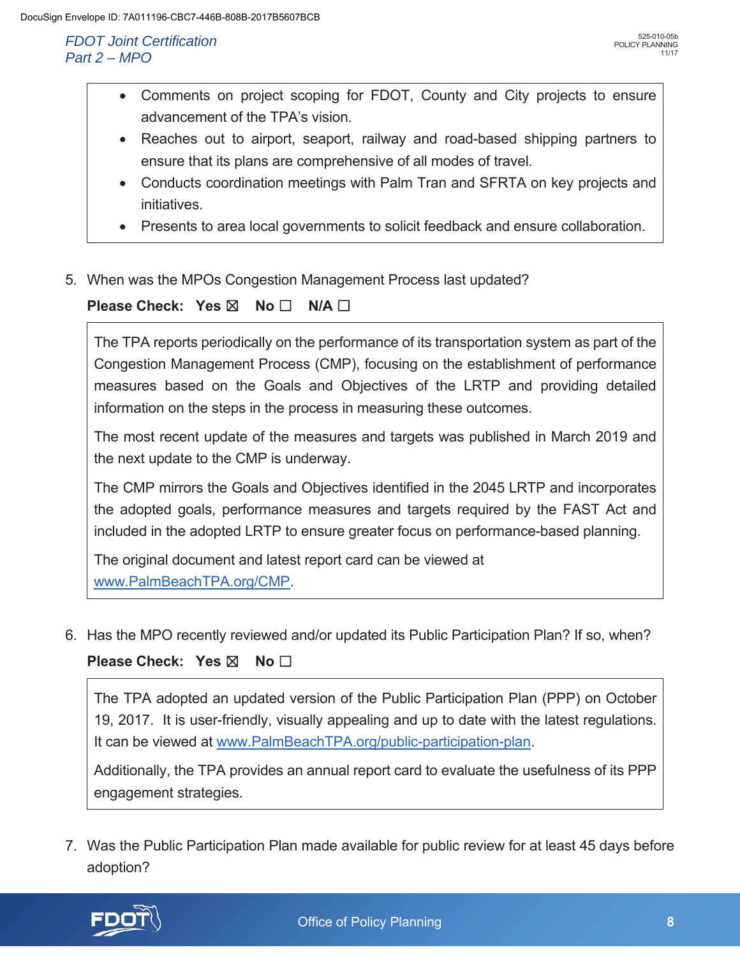- Comments on project scoping for FDOT, County and City projects to ensure advancement of the TPA's vision.
- Reaches out to airport, seaport, railway and road-based shipping partners to ensure that its plans are comprehensive of all modes of travel.
- Conducts coordination meetings with Palm Tran and SFRTA on key projects and initiatives.
- Presents to area local governments to solicit feedback and ensure collaboration.
- 5. When was the MPOs Congestion Management Process last updated?

Please Check: Yes 
$$
\boxtimes
$$
 No  $\square$  N/A  $\square$ 

The TPA reports periodically on the performance of its transportation system as part of the Congestion Management Process (CMP), focusing on the establishment of performance measures based on the Goals and Objectives of the LRTP and providing detailed information on the steps in the process in measuring these outcomes.

The most recent update of the measures and targets was published in March 2019 and the next update to the CMP is underway.

The CMP mirrors the Goals and Objectives identified in the 2045 LRTP and incorporates the adopted goals, performance measures and targets required by the FAST Act and included in the adopted LRTP to ensure greater focus on performance-based planning.

The original document and latest report card can be viewed at www.PalmBeachTPA.org/CMP.

6. Has the MPO recently reviewed and/or updated its Public Participation Plan? If so, when?

**Please Check: Yes ⊠ No** 

The TPA adopted an updated version of the Public Participation Plan (PPP) on October 19, 2017. It is user-friendly, visually appealing and up to date with the latest regulations. It can be viewed at www.PalmBeachTPA.org/public-participation-plan.

Additionally, the TPA provides an annual report card to evaluate the usefulness of its PPP engagement strategies.

7. Was the Public Participation Plan made available for public review for at least 45 days before adoption?

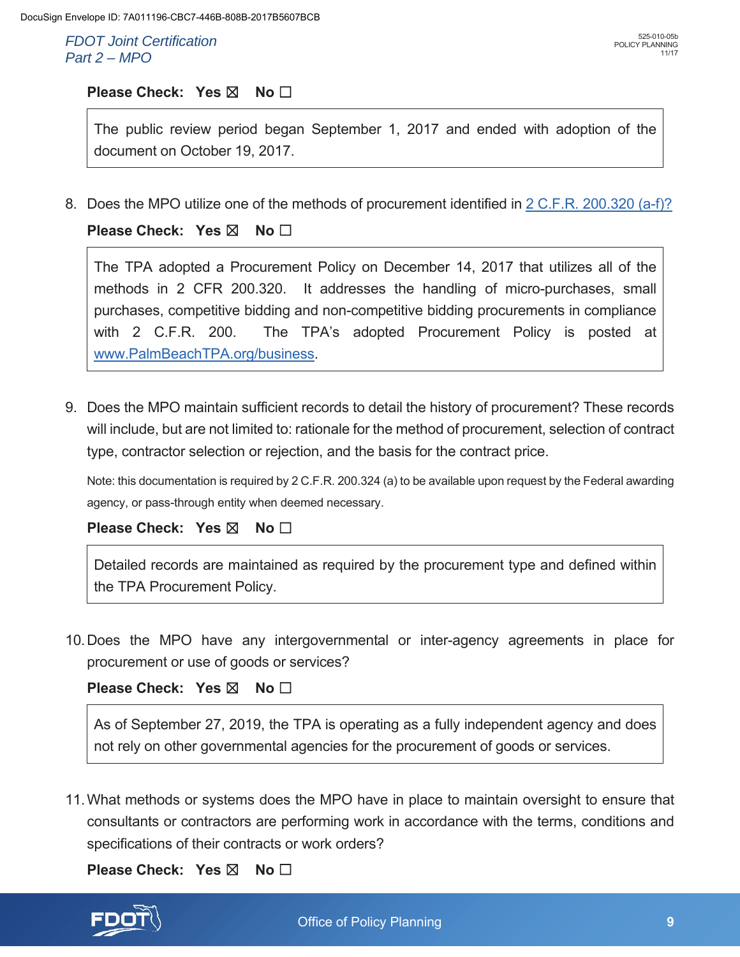525-010-05b POLICY PLANNING

11/17

### **Please Check: Yes ⊠** No □

The public review period began September 1, 2017 and ended with adoption of the document on October 19, 2017.

8. Does the MPO utilize one of the methods of procurement identified in 2 C.F.R. 200.320 (a-f)?

**Please Check: Yes ⊠ No** □

The TPA adopted a Procurement Policy on December 14, 2017 that utilizes all of the methods in 2 CFR 200.320. It addresses the handling of micro-purchases, small purchases, competitive bidding and non-competitive bidding procurements in compliance with 2 C.F.R. 200. The TPA's adopted Procurement Policy is posted at www.PalmBeachTPA.org/business.

9. Does the MPO maintain sufficient records to detail the history of procurement? These records will include, but are not limited to: rationale for the method of procurement, selection of contract type, contractor selection or rejection, and the basis for the contract price.

Note: this documentation is required by 2 C.F.R. 200.324 (a) to be available upon request by the Federal awarding agency, or pass-through entity when deemed necessary.

**Please Check: Yes ⊠ No □** 

Detailed records are maintained as required by the procurement type and defined within the TPA Procurement Policy.

10. Does the MPO have any intergovernmental or inter-agency agreements in place for procurement or use of goods or services?

**Please Check: Yes ⊠ No** □

As of September 27, 2019, the TPA is operating as a fully independent agency and does not rely on other governmental agencies for the procurement of goods or services.

11. What methods or systems does the MPO have in place to maintain oversight to ensure that consultants or contractors are performing work in accordance with the terms, conditions and specifications of their contracts or work orders?

**Please Check: Yes ⊠ No** □

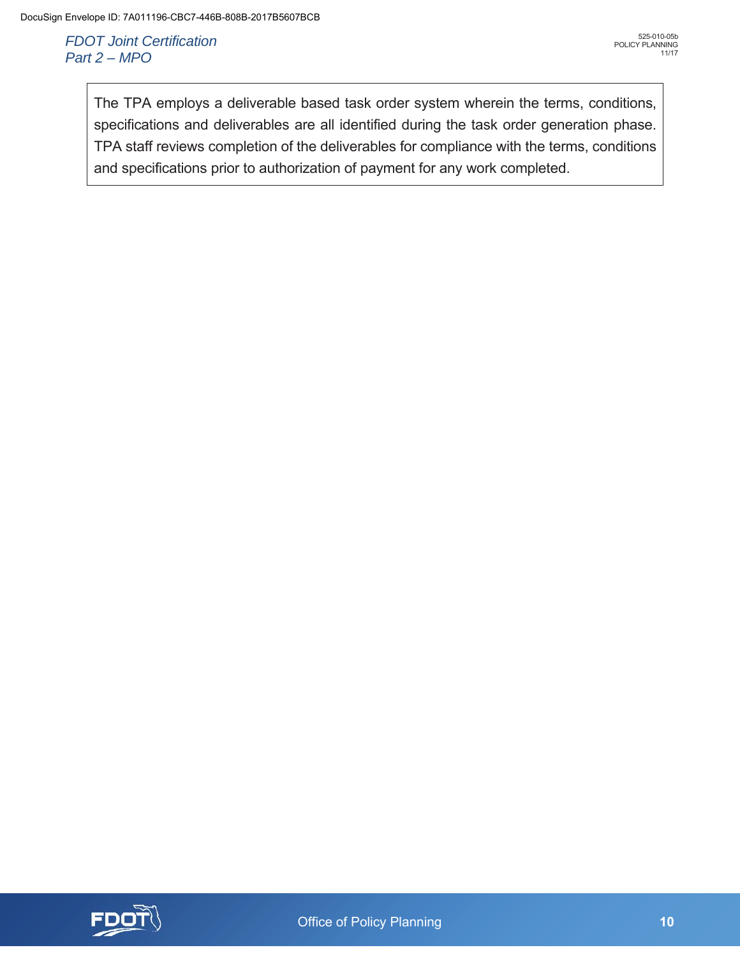The TPA employs a deliverable based task order system wherein the terms, conditions, specifications and deliverables are all identified during the task order generation phase. TPA staff reviews completion of the deliverables for compliance with the terms, conditions and specifications prior to authorization of payment for any work completed.

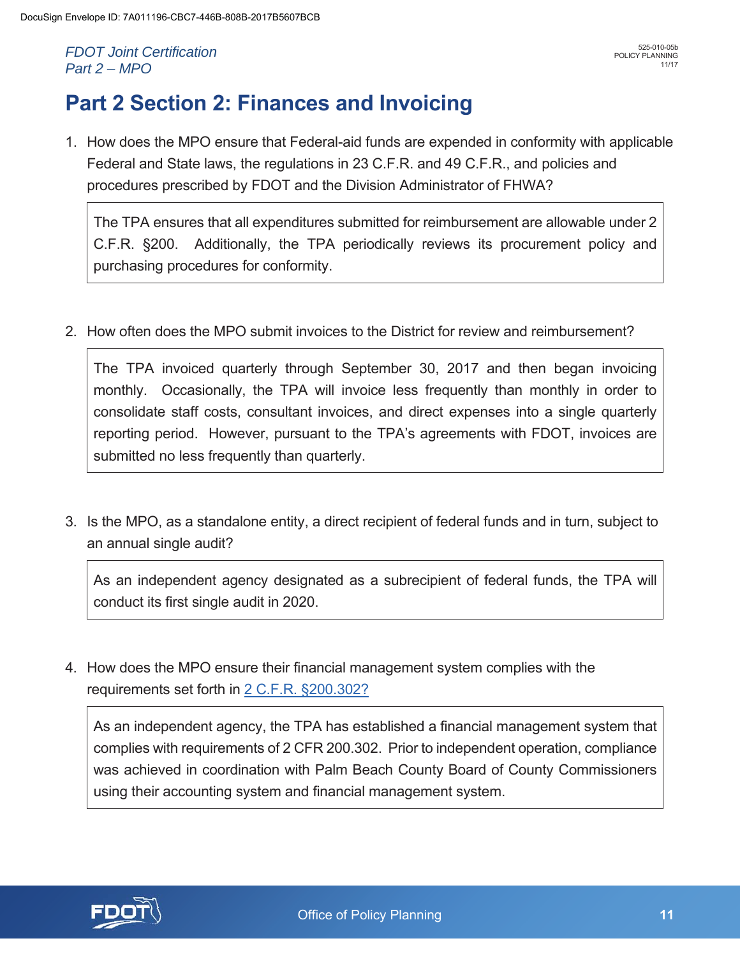# **Part 2 Section 2: Finances and Invoicing**

1. How does the MPO ensure that Federal-aid funds are expended in conformity with applicable Federal and State laws, the regulations in 23 C.F.R. and 49 C.F.R., and policies and procedures prescribed by FDOT and the Division Administrator of FHWA?

The TPA ensures that all expenditures submitted for reimbursement are allowable under 2 C.F.R. §200. Additionally, the TPA periodically reviews its procurement policy and purchasing procedures for conformity.

2. How often does the MPO submit invoices to the District for review and reimbursement?

The TPA invoiced quarterly through September 30, 2017 and then began invoicing monthly. Occasionally, the TPA will invoice less frequently than monthly in order to consolidate staff costs, consultant invoices, and direct expenses into a single quarterly reporting period. However, pursuant to the TPA's agreements with FDOT, invoices are submitted no less frequently than quarterly.

3. Is the MPO, as a standalone entity, a direct recipient of federal funds and in turn, subject to an annual single audit?

As an independent agency designated as a subrecipient of federal funds, the TPA will conduct its first single audit in 2020.

4. How does the MPO ensure their financial management system complies with the requirements set forth in 2 C.F.R. §200.302?

As an independent agency, the TPA has established a financial management system that complies with requirements of 2 CFR 200.302. Prior to independent operation, compliance was achieved in coordination with Palm Beach County Board of County Commissioners using their accounting system and financial management system.

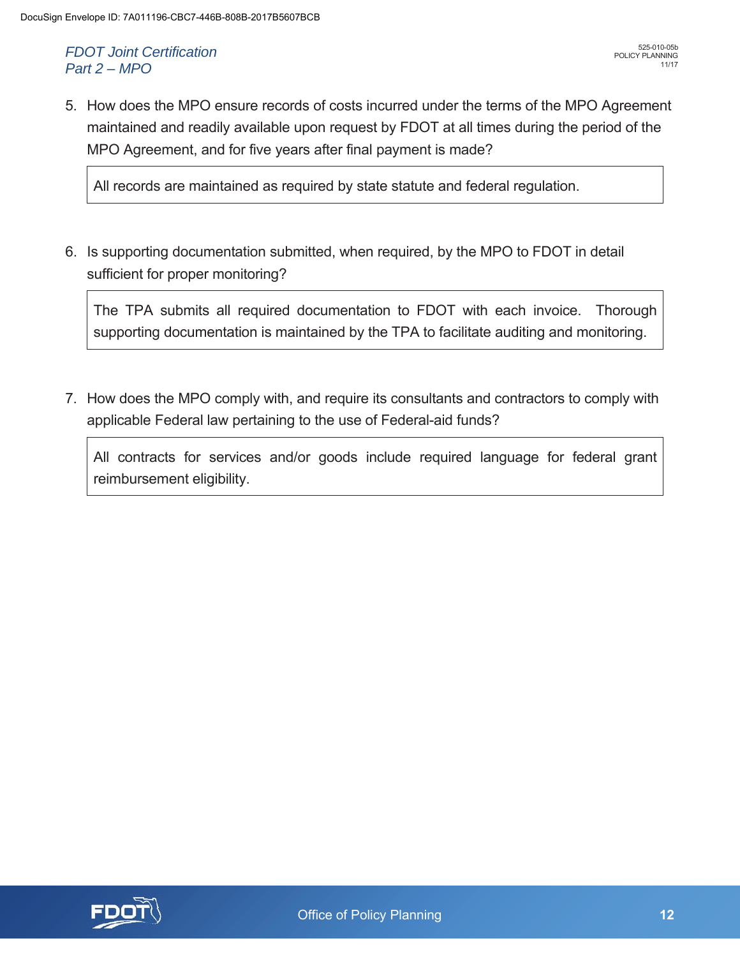5. How does the MPO ensure records of costs incurred under the terms of the MPO Agreement maintained and readily available upon request by FDOT at all times during the period of the MPO Agreement, and for five years after final payment is made?

All records are maintained as required by state statute and federal regulation.

6. Is supporting documentation submitted, when required, by the MPO to FDOT in detail sufficient for proper monitoring?

The TPA submits all required documentation to FDOT with each invoice. Thorough supporting documentation is maintained by the TPA to facilitate auditing and monitoring.

7. How does the MPO comply with, and require its consultants and contractors to comply with applicable Federal law pertaining to the use of Federal-aid funds?

All contracts for services and/or goods include required language for federal grant reimbursement eligibility.

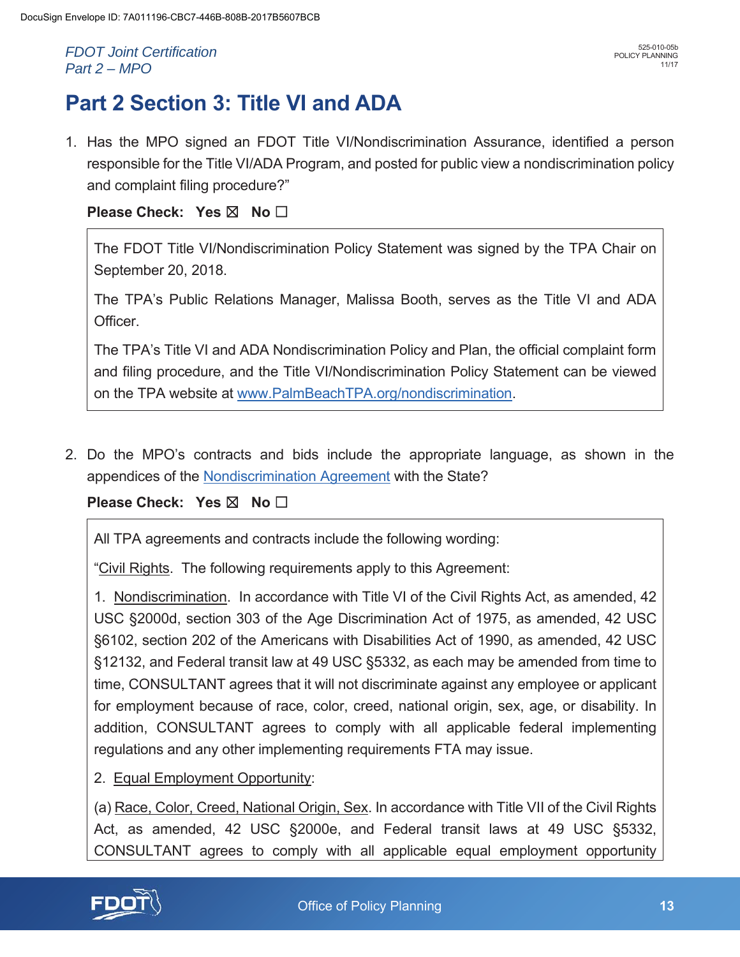# **Part 2 Section 3: Title VI and ADA**

1. Has the MPO signed an FDOT Title VI/Nondiscrimination Assurance, identified a person responsible for the Title VI/ADA Program, and posted for public view a nondiscrimination policy and complaint filing procedure?"

### **Please Check: Yes ⊠ No**

The FDOT Title VI/Nondiscrimination Policy Statement was signed by the TPA Chair on September 20, 2018.

The TPA's Public Relations Manager, Malissa Booth, serves as the Title VI and ADA Officer.

The TPA's Title VI and ADA Nondiscrimination Policy and Plan, the official complaint form and filing procedure, and the Title VI/Nondiscrimination Policy Statement can be viewed on the TPA website at www.PalmBeachTPA.org/nondiscrimination.

2. Do the MPO's contracts and bids include the appropriate language, as shown in the appendices of the Nondiscrimination Agreement with the State?

**Please Check: Yes ⊠ No** 

All TPA agreements and contracts include the following wording:

"Civil Rights. The following requirements apply to this Agreement:

1. Nondiscrimination. In accordance with Title VI of the Civil Rights Act, as amended, 42 USC §2000d, section 303 of the Age Discrimination Act of 1975, as amended, 42 USC §6102, section 202 of the Americans with Disabilities Act of 1990, as amended, 42 USC §12132, and Federal transit law at 49 USC §5332, as each may be amended from time to time, CONSULTANT agrees that it will not discriminate against any employee or applicant for employment because of race, color, creed, national origin, sex, age, or disability. In addition, CONSULTANT agrees to comply with all applicable federal implementing regulations and any other implementing requirements FTA may issue.

2. Equal Employment Opportunity:

(a) Race, Color, Creed, National Origin, Sex. In accordance with Title VII of the Civil Rights Act, as amended, 42 USC §2000e, and Federal transit laws at 49 USC §5332, CONSULTANT agrees to comply with all applicable equal employment opportunity

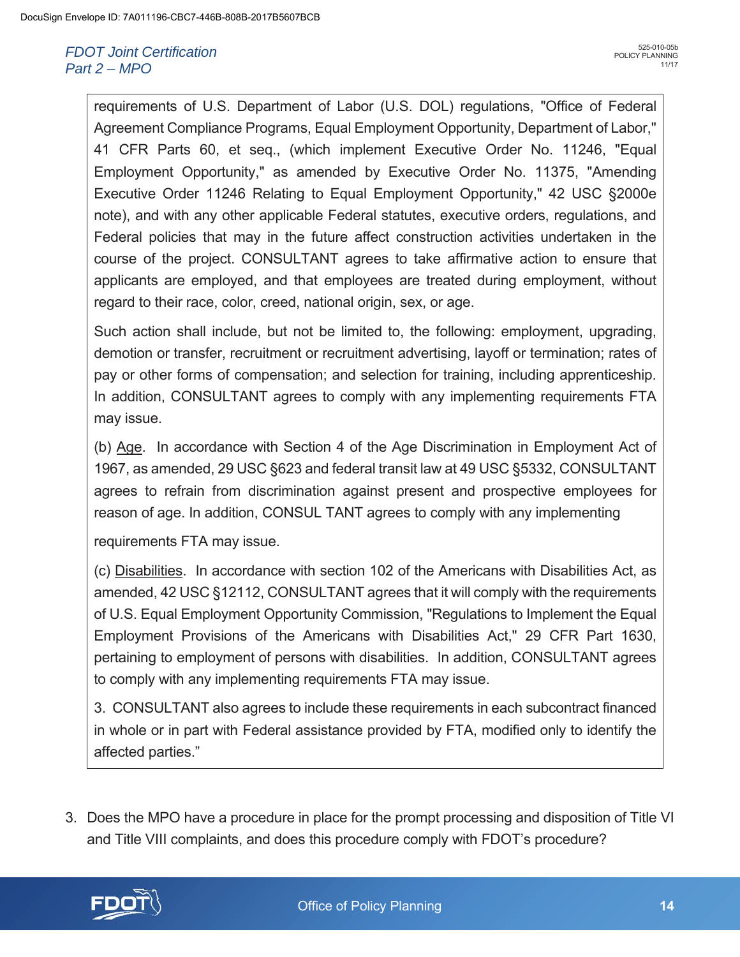requirements of U.S. Department of Labor (U.S. DOL) regulations, "Office of Federal Agreement Compliance Programs, Equal Employment Opportunity, Department of Labor," 41 CFR Parts 60, et seq., (which implement Executive Order No. 11246, "Equal Employment Opportunity," as amended by Executive Order No. 11375, "Amending Executive Order 11246 Relating to Equal Employment Opportunity," 42 USC §2000e note), and with any other applicable Federal statutes, executive orders, regulations, and Federal policies that may in the future affect construction activities undertaken in the course of the project. CONSULTANT agrees to take affirmative action to ensure that applicants are employed, and that employees are treated during employment, without regard to their race, color, creed, national origin, sex, or age.

Such action shall include, but not be limited to, the following: employment, upgrading, demotion or transfer, recruitment or recruitment advertising, layoff or termination; rates of pay or other forms of compensation; and selection for training, including apprenticeship. In addition, CONSULTANT agrees to comply with any implementing requirements FTA may issue.

(b) Age. In accordance with Section 4 of the Age Discrimination in Employment Act of 1967, as amended, 29 USC §623 and federal transit law at 49 USC §5332, CONSULTANT agrees to refrain from discrimination against present and prospective employees for reason of age. In addition, CONSUL TANT agrees to comply with any implementing

requirements FTA may issue.

(c) Disabilities. In accordance with section 102 of the Americans with Disabilities Act, as amended, 42 USC §12112, CONSULTANT agrees that it will comply with the requirements of U.S. Equal Employment Opportunity Commission, "Regulations to Implement the Equal Employment Provisions of the Americans with Disabilities Act," 29 CFR Part 1630, pertaining to employment of persons with disabilities. In addition, CONSULTANT agrees to comply with any implementing requirements FTA may issue.

3. CONSULTANT also agrees to include these requirements in each subcontract financed in whole or in part with Federal assistance provided by FTA, modified only to identify the affected parties."

3. Does the MPO have a procedure in place for the prompt processing and disposition of Title VI and Title VIII complaints, and does this procedure comply with FDOT's procedure?

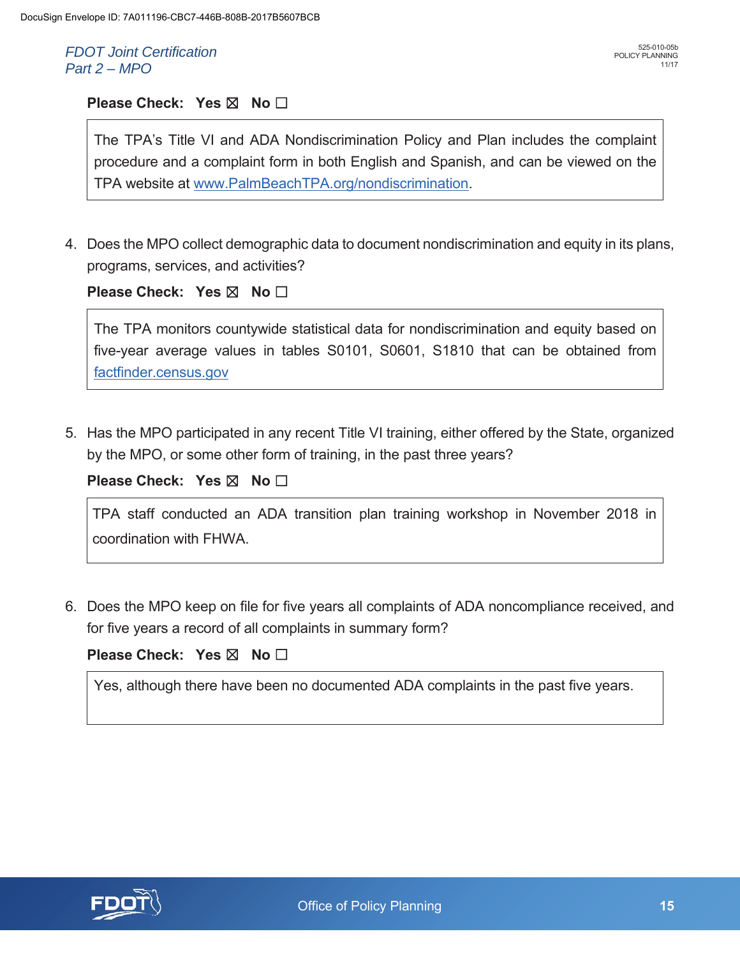#### **Please Check: Yes ⊠ No**

The TPA's Title VI and ADA Nondiscrimination Policy and Plan includes the complaint procedure and a complaint form in both English and Spanish, and can be viewed on the TPA website at www.PalmBeachTPA.org/nondiscrimination.

4. Does the MPO collect demographic data to document nondiscrimination and equity in its plans, programs, services, and activities?

#### **Please Check: Yes ⊠ No □**

The TPA monitors countywide statistical data for nondiscrimination and equity based on five-year average values in tables S0101, S0601, S1810 that can be obtained from factfinder.census.gov

5. Has the MPO participated in any recent Title VI training, either offered by the State, organized by the MPO, or some other form of training, in the past three years?

**Please Check: Yes ⊠ No** 

TPA staff conducted an ADA transition plan training workshop in November 2018 in coordination with FHWA.

6. Does the MPO keep on file for five years all complaints of ADA noncompliance received, and for five years a record of all complaints in summary form?

#### **Please Check: Yes ⊠ No**

Yes, although there have been no documented ADA complaints in the past five years.

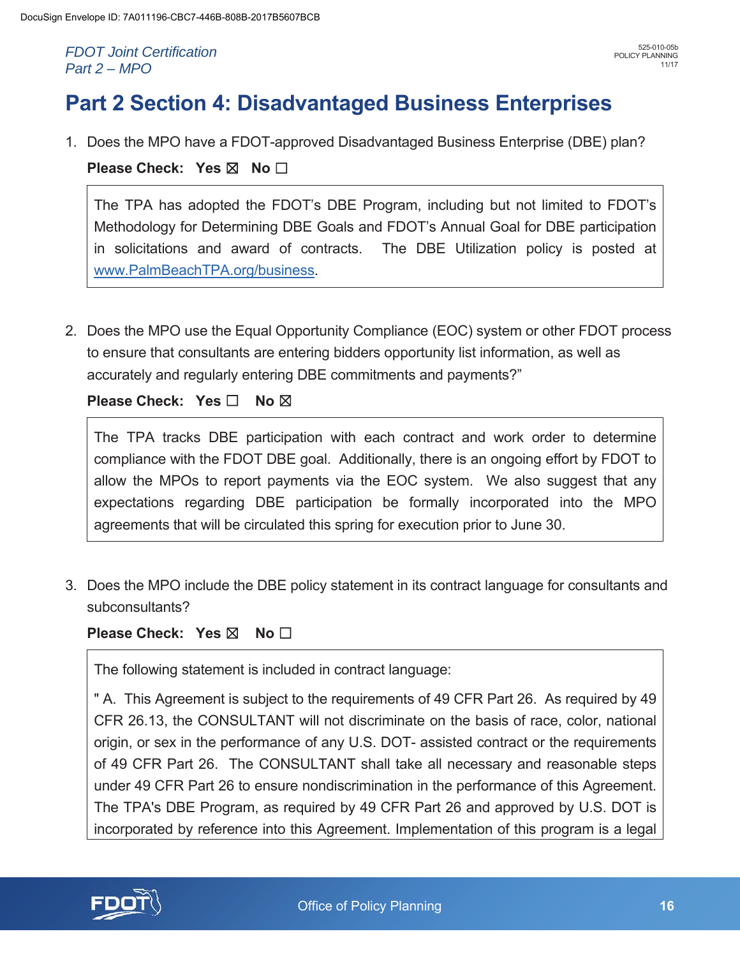# **Part 2 Section 4: Disadvantaged Business Enterprises**

1. Does the MPO have a FDOT-approved Disadvantaged Business Enterprise (DBE) plan?

**Please Check: Yes ⊠ No** 

The TPA has adopted the FDOT's DBE Program, including but not limited to FDOT's Methodology for Determining DBE Goals and FDOT's Annual Goal for DBE participation in solicitations and award of contracts. The DBE Utilization policy is posted at www.PalmBeachTPA.org/business.

2. Does the MPO use the Equal Opportunity Compliance (EOC) system or other FDOT process to ensure that consultants are entering bidders opportunity list information, as well as accurately and regularly entering DBE commitments and payments?"

**Please Check: Yes □ No ⊠** 

The TPA tracks DBE participation with each contract and work order to determine compliance with the FDOT DBE goal. Additionally, there is an ongoing effort by FDOT to allow the MPOs to report payments via the EOC system. We also suggest that any expectations regarding DBE participation be formally incorporated into the MPO agreements that will be circulated this spring for execution prior to June 30.

3. Does the MPO include the DBE policy statement in its contract language for consultants and subconsultants?

**Please Check: Yes ⊠ No** □

The following statement is included in contract language:

" A. This Agreement is subject to the requirements of 49 CFR Part 26. As required by 49 CFR 26.13, the CONSULTANT will not discriminate on the basis of race, color, national origin, or sex in the performance of any U.S. DOT- assisted contract or the requirements of 49 CFR Part 26. The CONSULTANT shall take all necessary and reasonable steps under 49 CFR Part 26 to ensure nondiscrimination in the performance of this Agreement. The TPA's DBE Program, as required by 49 CFR Part 26 and approved by U.S. DOT is incorporated by reference into this Agreement. Implementation of this program is a legal

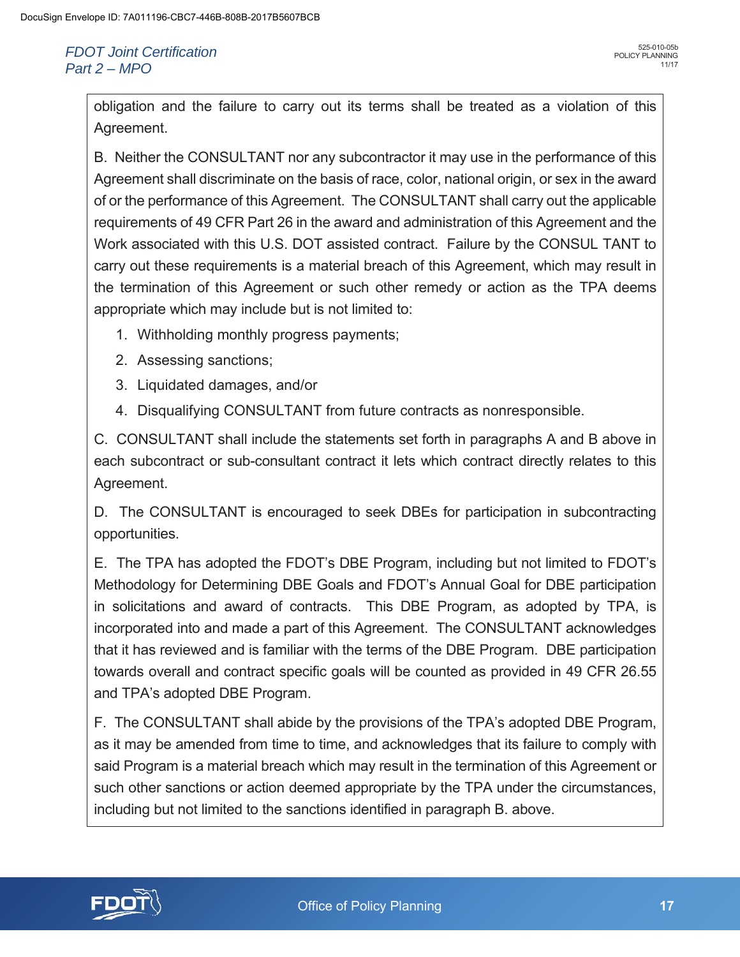obligation and the failure to carry out its terms shall be treated as a violation of this Agreement.

B. Neither the CONSULTANT nor any subcontractor it may use in the performance of this Agreement shall discriminate on the basis of race, color, national origin, or sex in the award of or the performance of this Agreement. The CONSULTANT shall carry out the applicable requirements of 49 CFR Part 26 in the award and administration of this Agreement and the Work associated with this U.S. DOT assisted contract. Failure by the CONSUL TANT to carry out these requirements is a material breach of this Agreement, which may result in the termination of this Agreement or such other remedy or action as the TPA deems appropriate which may include but is not limited to:

- 1. Withholding monthly progress payments;
- 2. Assessing sanctions;
- 3. Liquidated damages, and/or
- 4. Disqualifying CONSULTANT from future contracts as nonresponsible.

C. CONSULTANT shall include the statements set forth in paragraphs A and B above in each subcontract or sub-consultant contract it lets which contract directly relates to this Agreement.

D. The CONSULTANT is encouraged to seek DBEs for participation in subcontracting opportunities.

E. The TPA has adopted the FDOT's DBE Program, including but not limited to FDOT's Methodology for Determining DBE Goals and FDOT's Annual Goal for DBE participation in solicitations and award of contracts. This DBE Program, as adopted by TPA, is incorporated into and made a part of this Agreement. The CONSULTANT acknowledges that it has reviewed and is familiar with the terms of the DBE Program. DBE participation towards overall and contract specific goals will be counted as provided in 49 CFR 26.55 and TPA's adopted DBE Program.

F. The CONSULTANT shall abide by the provisions of the TPA's adopted DBE Program, as it may be amended from time to time, and acknowledges that its failure to comply with said Program is a material breach which may result in the termination of this Agreement or such other sanctions or action deemed appropriate by the TPA under the circumstances, including but not limited to the sanctions identified in paragraph B. above.

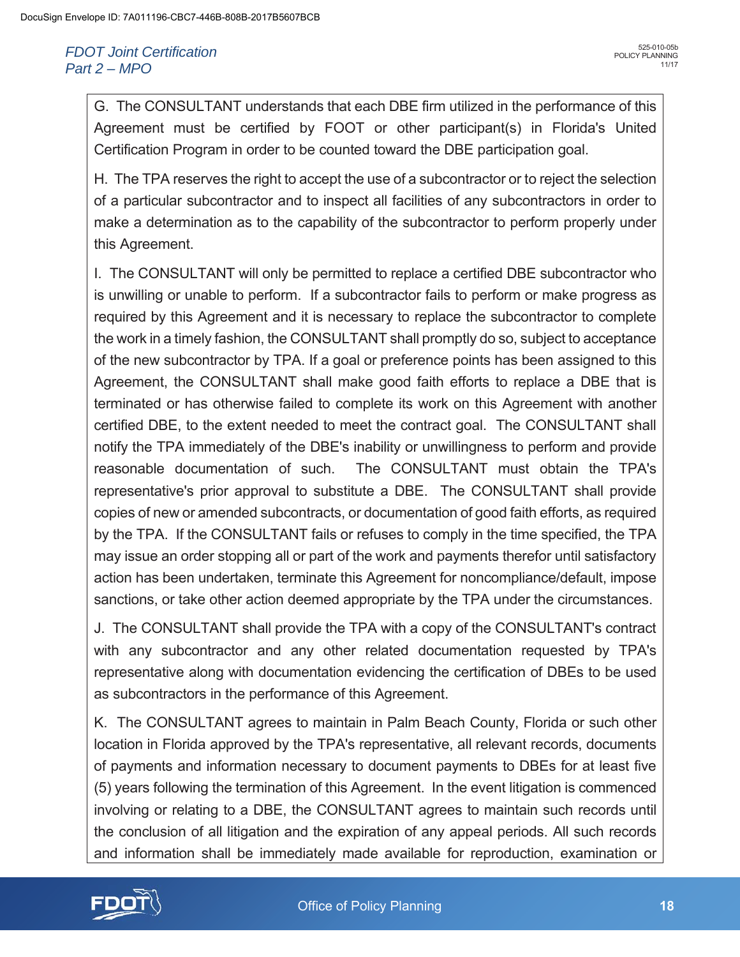G. The CONSULTANT understands that each DBE firm utilized in the performance of this Agreement must be certified by FOOT or other participant(s) in Florida's United Certification Program in order to be counted toward the DBE participation goal.

H. The TPA reserves the right to accept the use of a subcontractor or to reject the selection of a particular subcontractor and to inspect all facilities of any subcontractors in order to make a determination as to the capability of the subcontractor to perform properly under this Agreement.

I. The CONSULTANT will only be permitted to replace a certified DBE subcontractor who is unwilling or unable to perform. If a subcontractor fails to perform or make progress as required by this Agreement and it is necessary to replace the subcontractor to complete the work in a timely fashion, the CONSULTANT shall promptly do so, subject to acceptance of the new subcontractor by TPA. If a goal or preference points has been assigned to this Agreement, the CONSULTANT shall make good faith efforts to replace a DBE that is terminated or has otherwise failed to complete its work on this Agreement with another certified DBE, to the extent needed to meet the contract goal. The CONSULTANT shall notify the TPA immediately of the DBE's inability or unwillingness to perform and provide reasonable documentation of such. The CONSULTANT must obtain the TPA's representative's prior approval to substitute a DBE. The CONSULTANT shall provide copies of new or amended subcontracts, or documentation of good faith efforts, as required by the TPA. If the CONSULTANT fails or refuses to comply in the time specified, the TPA may issue an order stopping all or part of the work and payments therefor until satisfactory action has been undertaken, terminate this Agreement for noncompliance/default, impose sanctions, or take other action deemed appropriate by the TPA under the circumstances.

J. The CONSULTANT shall provide the TPA with a copy of the CONSULTANT's contract with any subcontractor and any other related documentation requested by TPA's representative along with documentation evidencing the certification of DBEs to be used as subcontractors in the performance of this Agreement.

K. The CONSULTANT agrees to maintain in Palm Beach County, Florida or such other location in Florida approved by the TPA's representative, all relevant records, documents of payments and information necessary to document payments to DBEs for at least five (5) years following the termination of this Agreement. In the event litigation is commenced involving or relating to a DBE, the CONSULTANT agrees to maintain such records until the conclusion of all litigation and the expiration of any appeal periods. All such records and information shall be immediately made available for reproduction, examination or

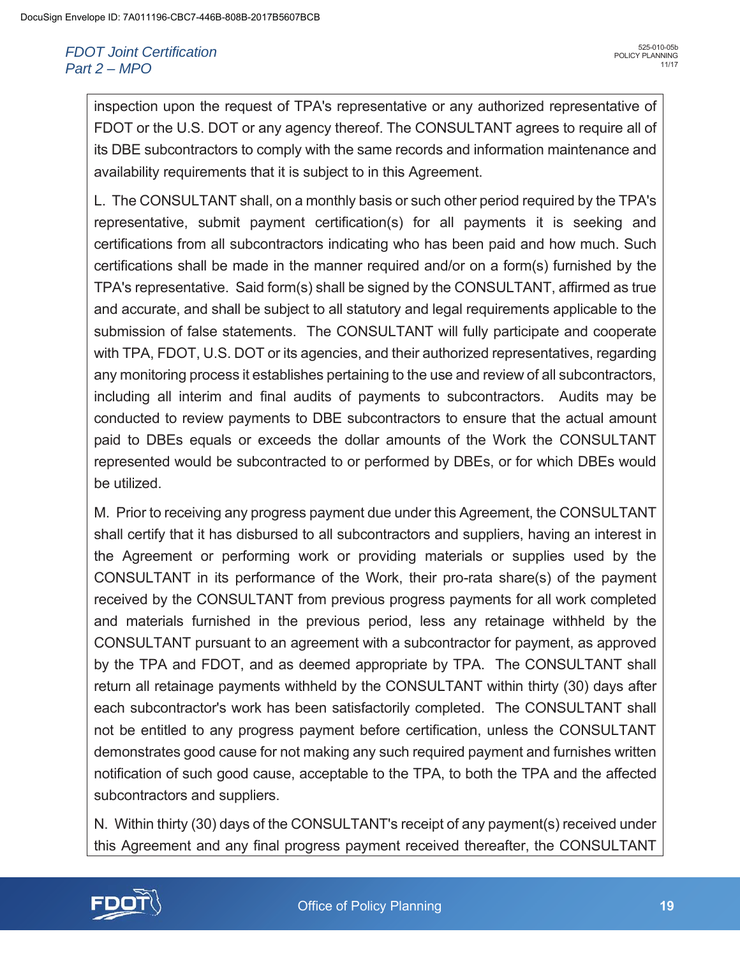inspection upon the request of TPA's representative or any authorized representative of FDOT or the U.S. DOT or any agency thereof. The CONSULTANT agrees to require all of its DBE subcontractors to comply with the same records and information maintenance and availability requirements that it is subject to in this Agreement.

L. The CONSULTANT shall, on a monthly basis or such other period required by the TPA's representative, submit payment certification(s) for all payments it is seeking and certifications from all subcontractors indicating who has been paid and how much. Such certifications shall be made in the manner required and/or on a form(s) furnished by the TPA's representative. Said form(s) shall be signed by the CONSULTANT, affirmed as true and accurate, and shall be subject to all statutory and legal requirements applicable to the submission of false statements. The CONSULTANT will fully participate and cooperate with TPA, FDOT, U.S. DOT or its agencies, and their authorized representatives, regarding any monitoring process it establishes pertaining to the use and review of all subcontractors, including all interim and final audits of payments to subcontractors. Audits may be conducted to review payments to DBE subcontractors to ensure that the actual amount paid to DBEs equals or exceeds the dollar amounts of the Work the CONSULTANT represented would be subcontracted to or performed by DBEs, or for which DBEs would be utilized.

M. Prior to receiving any progress payment due under this Agreement, the CONSULTANT shall certify that it has disbursed to all subcontractors and suppliers, having an interest in the Agreement or performing work or providing materials or supplies used by the CONSULTANT in its performance of the Work, their pro-rata share(s) of the payment received by the CONSULTANT from previous progress payments for all work completed and materials furnished in the previous period, less any retainage withheld by the CONSULTANT pursuant to an agreement with a subcontractor for payment, as approved by the TPA and FDOT, and as deemed appropriate by TPA. The CONSULTANT shall return all retainage payments withheld by the CONSULTANT within thirty (30) days after each subcontractor's work has been satisfactorily completed. The CONSULTANT shall not be entitled to any progress payment before certification, unless the CONSULTANT demonstrates good cause for not making any such required payment and furnishes written notification of such good cause, acceptable to the TPA, to both the TPA and the affected subcontractors and suppliers.

N. Within thirty (30) days of the CONSULTANT's receipt of any payment(s) received under this Agreement and any final progress payment received thereafter, the CONSULTANT

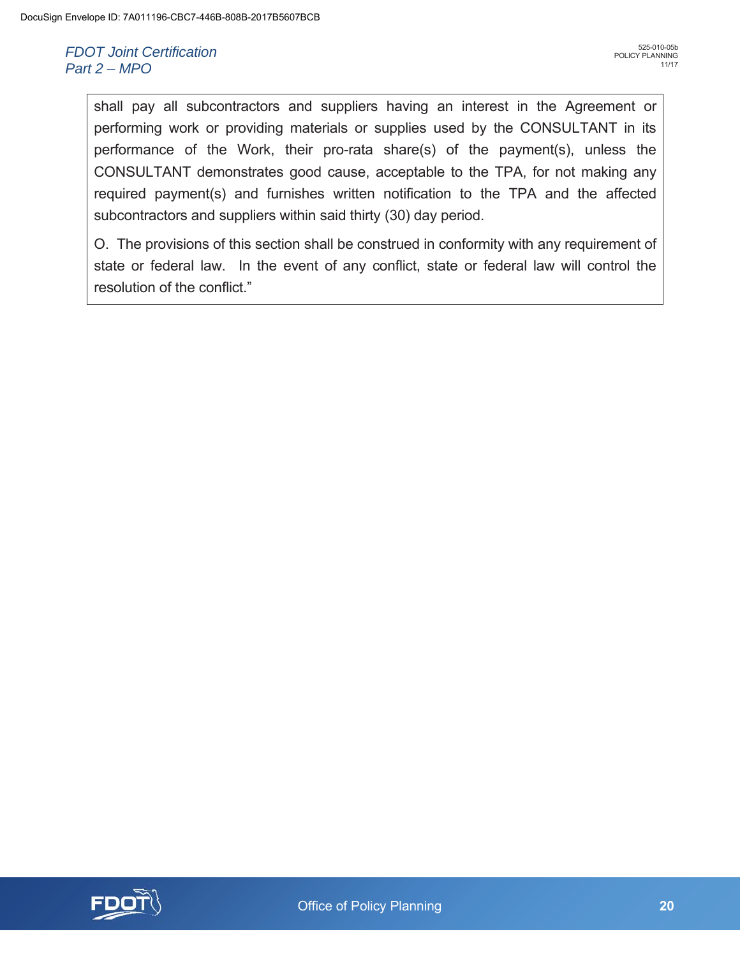shall pay all subcontractors and suppliers having an interest in the Agreement or performing work or providing materials or supplies used by the CONSULTANT in its performance of the Work, their pro-rata share(s) of the payment(s), unless the CONSULTANT demonstrates good cause, acceptable to the TPA, for not making any required payment(s) and furnishes written notification to the TPA and the affected subcontractors and suppliers within said thirty (30) day period.

O. The provisions of this section shall be construed in conformity with any requirement of state or federal law. In the event of any conflict, state or federal law will control the resolution of the conflict."

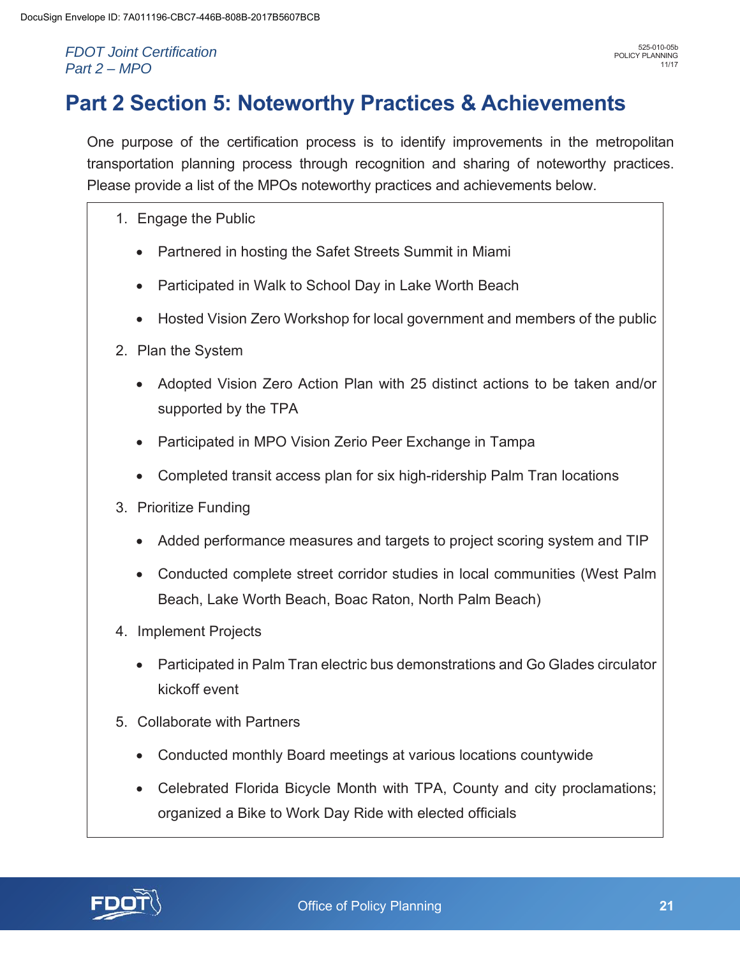# **Part 2 Section 5: Noteworthy Practices & Achievements**

One purpose of the certification process is to identify improvements in the metropolitan transportation planning process through recognition and sharing of noteworthy practices. Please provide a list of the MPOs noteworthy practices and achievements below.

- 1. Engage the Public
	- Partnered in hosting the Safet Streets Summit in Miami
	- Participated in Walk to School Day in Lake Worth Beach
	- Hosted Vision Zero Workshop for local government and members of the public
- 2. Plan the System
	- Adopted Vision Zero Action Plan with 25 distinct actions to be taken and/or supported by the TPA
	- Participated in MPO Vision Zerio Peer Exchange in Tampa
	- Completed transit access plan for six high-ridership Palm Tran locations
- 3. Prioritize Funding
	- Added performance measures and targets to project scoring system and TIP
	- Conducted complete street corridor studies in local communities (West Palm Beach, Lake Worth Beach, Boac Raton, North Palm Beach)
- 4. Implement Projects
	- Participated in Palm Tran electric bus demonstrations and Go Glades circulator kickoff event
- 5. Collaborate with Partners
	- Conducted monthly Board meetings at various locations countywide
	- Celebrated Florida Bicycle Month with TPA, County and city proclamations; organized a Bike to Work Day Ride with elected officials

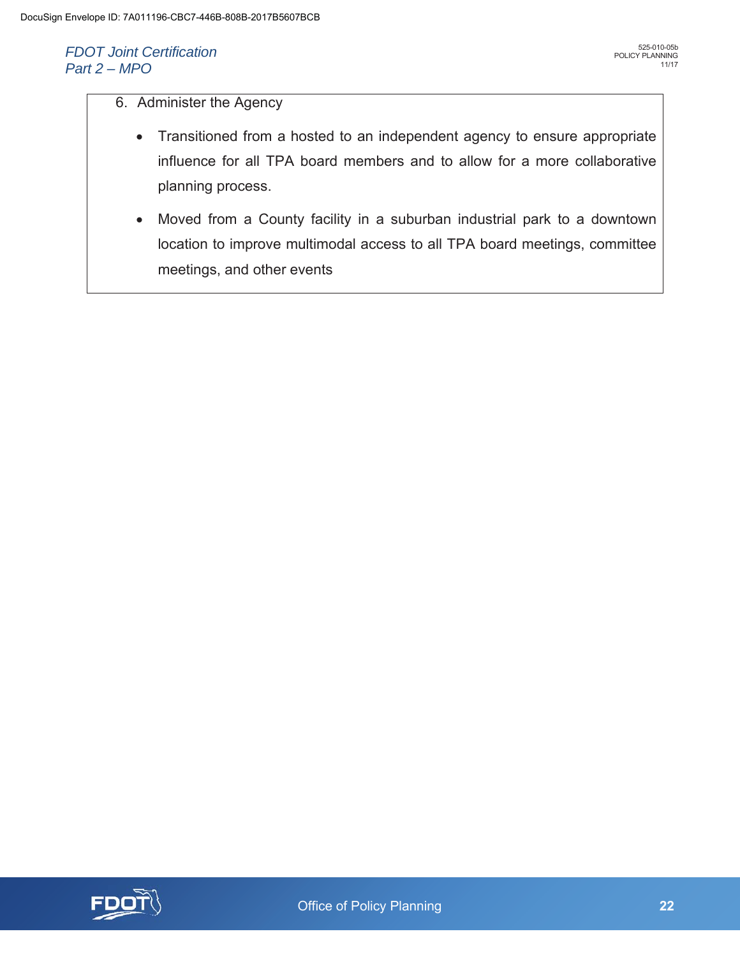## 6. Administer the Agency

- Transitioned from a hosted to an independent agency to ensure appropriate influence for all TPA board members and to allow for a more collaborative planning process.
- Moved from a County facility in a suburban industrial park to a downtown location to improve multimodal access to all TPA board meetings, committee meetings, and other events

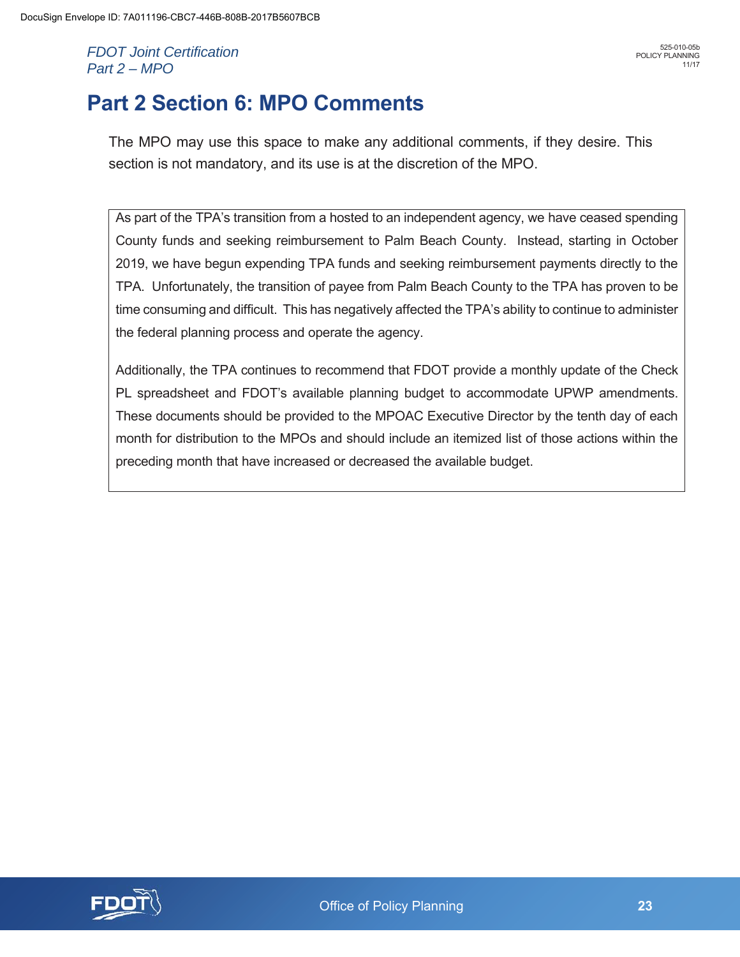# **Part 2 Section 6: MPO Comments**

The MPO may use this space to make any additional comments, if they desire. This section is not mandatory, and its use is at the discretion of the MPO.

As part of the TPA's transition from a hosted to an independent agency, we have ceased spending County funds and seeking reimbursement to Palm Beach County. Instead, starting in October 2019, we have begun expending TPA funds and seeking reimbursement payments directly to the TPA. Unfortunately, the transition of payee from Palm Beach County to the TPA has proven to be time consuming and difficult. This has negatively affected the TPA's ability to continue to administer the federal planning process and operate the agency.

Additionally, the TPA continues to recommend that FDOT provide a monthly update of the Check PL spreadsheet and FDOT's available planning budget to accommodate UPWP amendments. These documents should be provided to the MPOAC Executive Director by the tenth day of each month for distribution to the MPOs and should include an itemized list of those actions within the preceding month that have increased or decreased the available budget.